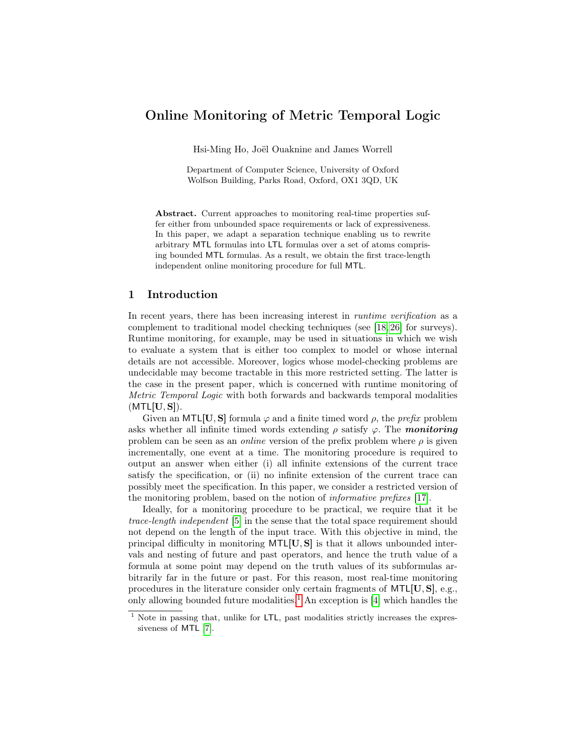# Online Monitoring of Metric Temporal Logic

Hsi-Ming Ho, Joël Ouaknine and James Worrell

Department of Computer Science, University of Oxford Wolfson Building, Parks Road, Oxford, OX1 3QD, UK

Abstract. Current approaches to monitoring real-time properties suffer either from unbounded space requirements or lack of expressiveness. In this paper, we adapt a separation technique enabling us to rewrite arbitrary MTL formulas into LTL formulas over a set of atoms comprising bounded MTL formulas. As a result, we obtain the first trace-length independent online monitoring procedure for full MTL.

### 1 Introduction

In recent years, there has been increasing interest in *runtime verification* as a complement to traditional model checking techniques (see [\[18,](#page-15-0) [26\]](#page-15-1) for surveys). Runtime monitoring, for example, may be used in situations in which we wish to evaluate a system that is either too complex to model or whose internal details are not accessible. Moreover, logics whose model-checking problems are undecidable may become tractable in this more restricted setting. The latter is the case in the present paper, which is concerned with runtime monitoring of Metric Temporal Logic with both forwards and backwards temporal modalities  $(MTL[U, S]).$ 

Given an MTL[U, S] formula  $\varphi$  and a finite timed word  $\rho$ , the *prefix* problem asks whether all infinite timed words extending  $\rho$  satisfy  $\varphi$ . The *monitoring* problem can be seen as an *online* version of the prefix problem where  $\rho$  is given incrementally, one event at a time. The monitoring procedure is required to output an answer when either (i) all infinite extensions of the current trace satisfy the specification, or (ii) no infinite extension of the current trace can possibly meet the specification. In this paper, we consider a restricted version of the monitoring problem, based on the notion of informative prefixes [\[17\]](#page-15-2).

Ideally, for a monitoring procedure to be practical, we require that it be trace-length independent [\[5\]](#page-14-0) in the sense that the total space requirement should not depend on the length of the input trace. With this objective in mind, the principal difficulty in monitoring  $MTL[U, S]$  is that it allows unbounded intervals and nesting of future and past operators, and hence the truth value of a formula at some point may depend on the truth values of its subformulas arbitrarily far in the future or past. For this reason, most real-time monitoring procedures in the literature consider only certain fragments of MTL[U, S], e.g., only allowing bounded future modalities.<sup>[1](#page-0-0)</sup> An exception is  $[4]$  which handles the

<span id="page-0-0"></span><sup>&</sup>lt;sup>1</sup> Note in passing that, unlike for LTL, past modalities strictly increases the expressiveness of MTL [\[7\]](#page-14-2).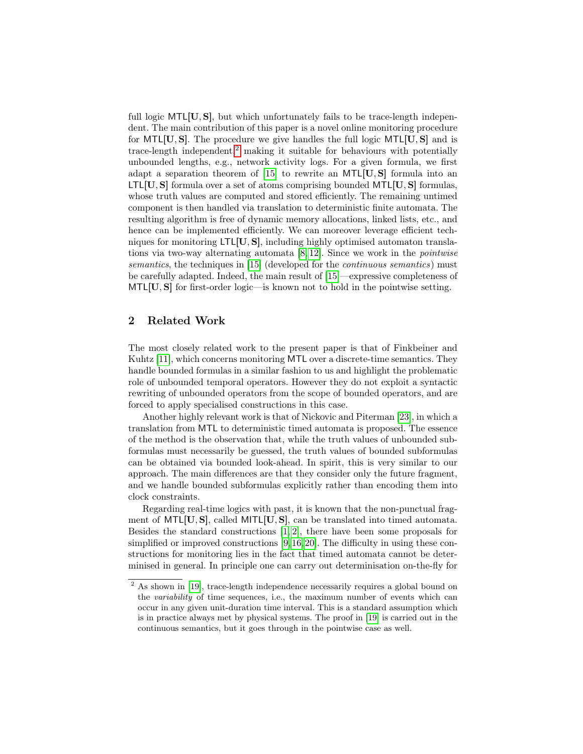full logic MTL[U, S], but which unfortunately fails to be trace-length independent. The main contribution of this paper is a novel online monitoring procedure for  $MTL[U, S]$ . The procedure we give handles the full logic  $MTL[U, S]$  and is trace-length independent,<sup>[2](#page-1-0)</sup> making it suitable for behaviours with potentially unbounded lengths, e.g., network activity logs. For a given formula, we first adapt a separation theorem of  $[15]$  to rewrite an MTL[U, S] formula into an  $LTL[**U**,**S**]$  formula over a set of atoms comprising bounded MTL $[**U**,**S**]$  formulas, whose truth values are computed and stored efficiently. The remaining untimed component is then handled via translation to deterministic finite automata. The resulting algorithm is free of dynamic memory allocations, linked lists, etc., and hence can be implemented efficiently. We can moreover leverage efficient techniques for monitoring  $LTL[U, S]$ , including highly optimised automaton translations via two-way alternating automata  $[8, 12]$  $[8, 12]$ . Since we work in the *pointwise* semantics, the techniques in [\[15\]](#page-15-3) (developed for the *continuous semantics*) must be carefully adapted. Indeed, the main result of [\[15\]](#page-15-3)—expressive completeness of MTL[U, S] for first-order logic—is known not to hold in the pointwise setting.

### 2 Related Work

The most closely related work to the present paper is that of Finkbeiner and Kuhtz [\[11\]](#page-14-4), which concerns monitoring MTL over a discrete-time semantics. They handle bounded formulas in a similar fashion to us and highlight the problematic role of unbounded temporal operators. However they do not exploit a syntactic rewriting of unbounded operators from the scope of bounded operators, and are forced to apply specialised constructions in this case.

Another highly relevant work is that of Nickovic and Piterman [\[23\]](#page-15-5), in which a translation from MTL to deterministic timed automata is proposed. The essence of the method is the observation that, while the truth values of unbounded subformulas must necessarily be guessed, the truth values of bounded subformulas can be obtained via bounded look-ahead. In spirit, this is very similar to our approach. The main differences are that they consider only the future fragment, and we handle bounded subformulas explicitly rather than encoding them into clock constraints.

Regarding real-time logics with past, it is known that the non-punctual fragment of MTL $[U, S]$ , called MITL $[U, S]$ , can be translated into timed automata. Besides the standard constructions [\[1,](#page-14-5) [2\]](#page-14-6), there have been some proposals for simplified or improved constructions [\[9,](#page-14-7)[16,](#page-15-6)[20\]](#page-15-7). The difficulty in using these constructions for monitoring lies in the fact that timed automata cannot be determinised in general. In principle one can carry out determinisation on-the-fly for

<span id="page-1-0"></span><sup>&</sup>lt;sup>2</sup> As shown in [\[19\]](#page-15-8), trace-length independence necessarily requires a global bound on the variability of time sequences, i.e., the maximum number of events which can occur in any given unit-duration time interval. This is a standard assumption which is in practice always met by physical systems. The proof in [\[19\]](#page-15-8) is carried out in the continuous semantics, but it goes through in the pointwise case as well.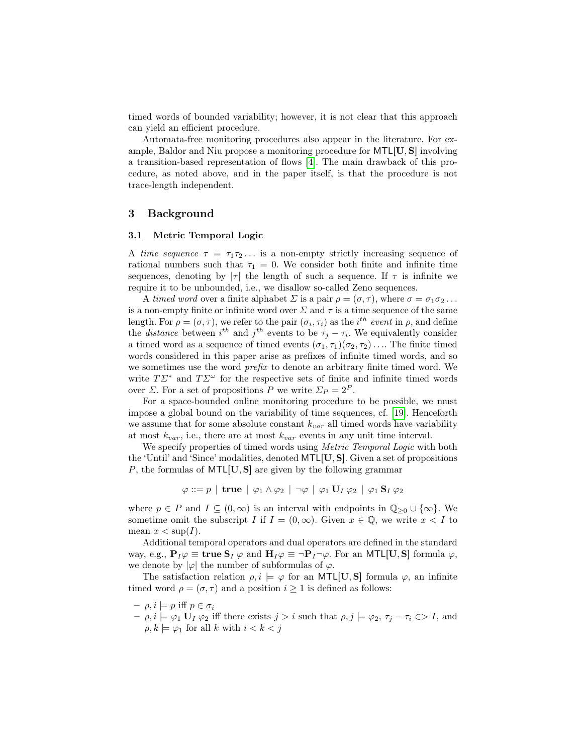timed words of bounded variability; however, it is not clear that this approach can yield an efficient procedure.

Automata-free monitoring procedures also appear in the literature. For example, Baldor and Niu propose a monitoring procedure for MTL[U, S] involving a transition-based representation of flows [\[4\]](#page-14-1). The main drawback of this procedure, as noted above, and in the paper itself, is that the procedure is not trace-length independent.

### 3 Background

#### 3.1 Metric Temporal Logic

A time sequence  $\tau = \tau_1 \tau_2 \ldots$  is a non-empty strictly increasing sequence of rational numbers such that  $\tau_1 = 0$ . We consider both finite and infinite time sequences, denoting by  $|\tau|$  the length of such a sequence. If  $\tau$  is infinite we require it to be unbounded, i.e., we disallow so-called Zeno sequences.

A timed word over a finite alphabet  $\Sigma$  is a pair  $\rho = (\sigma, \tau)$ , where  $\sigma = \sigma_1 \sigma_2 \ldots$ is a non-empty finite or infinite word over  $\Sigma$  and  $\tau$  is a time sequence of the same length. For  $\rho = (\sigma, \tau)$ , we refer to the pair  $(\sigma_i, \tau_i)$  as the i<sup>th</sup> event in  $\rho$ , and define the *distance* between  $i^{th}$  and  $j^{th}$  events to be  $\tau_j - \tau_i$ . We equivalently consider a timed word as a sequence of timed events  $(\sigma_1, \tau_1)(\sigma_2, \tau_2) \dots$  The finite timed words considered in this paper arise as prefixes of infinite timed words, and so we sometimes use the word prefix to denote an arbitrary finite timed word. We write  $T\mathcal{L}^*$  and  $T\mathcal{L}^\omega$  for the respective sets of finite and infinite timed words over  $\Sigma$ . For a set of propositions P we write  $\Sigma_P = 2^P$ .

For a space-bounded online monitoring procedure to be possible, we must impose a global bound on the variability of time sequences, cf. [\[19\]](#page-15-8). Henceforth we assume that for some absolute constant  $k_{var}$  all timed words have variability at most  $k_{var}$ , i.e., there are at most  $k_{var}$  events in any unit time interval.

We specify properties of timed words using *Metric Temporal Logic* with both the 'Until' and 'Since' modalities, denoted MTL[U, S]. Given a set of propositions P, the formulas of  $MTL[U, S]$  are given by the following grammar

 $\varphi ::= p \mid \textbf{true} \mid \varphi_1 \wedge \varphi_2 \mid \neg \varphi \mid \varphi_1 \mathbf{U}_I \varphi_2 \mid \varphi_1 \mathbf{S}_I \varphi_2$ 

where  $p \in P$  and  $I \subseteq (0,\infty)$  is an interval with endpoints in  $\mathbb{Q}_{\geq 0} \cup \{\infty\}$ . We sometime omit the subscript I if  $I = (0, \infty)$ . Given  $x \in \mathbb{Q}$ , we write  $x < I$  to mean  $x < \sup(I)$ .

Additional temporal operators and dual operators are defined in the standard way, e.g.,  $P_I\varphi \equiv \textbf{true } S_I \varphi$  and  $H_I\varphi \equiv \neg P_I \neg \varphi$ . For an MTL[U, S] formula  $\varphi$ , we denote by  $|\varphi|$  the number of subformulas of  $\varphi$ .

The satisfaction relation  $\rho, i \models \varphi$  for an MTL[U, S] formula  $\varphi$ , an infinite timed word  $\rho = (\sigma, \tau)$  and a position  $i \geq 1$  is defined as follows:

- $-p, i \models p \text{ iff } p \in \sigma_i$
- $-\rho, i \models \varphi_1 \mathbf{U}_I \varphi_2$  iff there exists  $j > i$  such that  $\rho, j \models \varphi_2, \tau_j \tau_i \in I$ , and  $\rho, k \models \varphi_1$  for all k with  $i < k < j$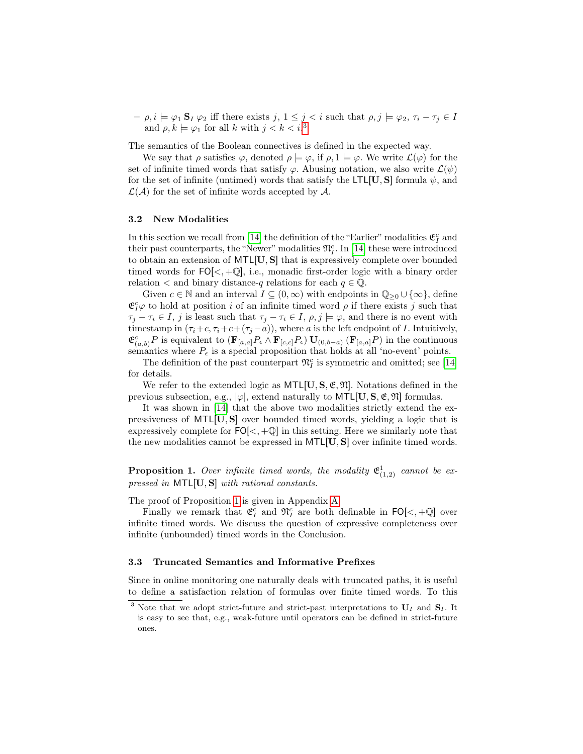$-\rho, i \models \varphi_1 \mathbf{S}_I \varphi_2$  iff there exists  $j, 1 \leq j < i$  such that  $\rho, j \models \varphi_2, \tau_i - \tau_j \in I$ and  $\rho, k \models \varphi_1$  for all k with  $j < k < i$ .<sup>[3](#page-3-0)</sup>

The semantics of the Boolean connectives is defined in the expected way.

We say that  $\rho$  satisfies  $\varphi$ , denoted  $\rho \models \varphi$ , if  $\rho, 1 \models \varphi$ . We write  $\mathcal{L}(\varphi)$  for the set of infinite timed words that satisfy  $\varphi$ . Abusing notation, we also write  $\mathcal{L}(\psi)$ for the set of infinite (untimed) words that satisfy the LTL[U, S] formula  $\psi$ , and  $\mathcal{L}(\mathcal{A})$  for the set of infinite words accepted by  $\mathcal{A}$ .

#### 3.2 New Modalities

In this section we recall from [\[14\]](#page-15-9) the definition of the "Earlier" modalities  $\mathfrak{E}^c_I$  and their past counterparts, the "Newer" modalities  $\mathfrak{N}_I^c$ . In [\[14\]](#page-15-9) these were introduced to obtain an extension of MTL[U, S] that is expressively complete over bounded timed words for  $FO[\lt, , +\mathbb{Q}]$ , i.e., monadic first-order logic with a binary order relation  $\lt$  and binary distance-q relations for each  $q \in \mathbb{Q}$ .

Given  $c \in \mathbb{N}$  and an interval  $I \subseteq (0,\infty)$  with endpoints in  $\mathbb{Q}_{\geq 0} \cup {\infty}$ , define  $\mathfrak{E}^c_I\varphi$  to hold at position *i* of an infinite timed word  $\rho$  if there exists *j* such that  $\tau_j - \tau_i \in I$ , j is least such that  $\tau_j - \tau_i \in I$ ,  $\rho, j \models \varphi$ , and there is no event with timestamp in  $(\tau_i+c, \tau_i+c+(\tau_j-a))$ , where a is the left endpoint of I. Intuitively,  $\mathfrak{E}_{(a,b)}^c P$  is equivalent to  $(\mathbf{F}_{[a,a]}P_{\epsilon} \wedge \mathbf{F}_{[c,c]}P_{\epsilon}) \mathbf{U}_{(0,b-a)} (\mathbf{F}_{[a,a]}P)$  in the continuous semantics where  $P_{\epsilon}$  is a special proposition that holds at all 'no-event' points.

The definition of the past counterpart  $\mathfrak{N}_I^c$  is symmetric and omitted; see [\[14\]](#page-15-9) for details.

We refer to the extended logic as  $MTL[U, S, \mathfrak{E}, \mathfrak{N}]$ . Notations defined in the previous subsection, e.g.,  $|\varphi|$ , extend naturally to MTL[U, S,  $\mathfrak{E}, \mathfrak{N}$ ] formulas.

It was shown in [\[14\]](#page-15-9) that the above two modalities strictly extend the expressiveness of MTL[U, S] over bounded timed words, yielding a logic that is expressively complete for  $FO[<, +\mathbb{Q}]$  in this setting. Here we similarly note that the new modalities cannot be expressed in MTL[U, S] over infinite timed words.

<span id="page-3-1"></span>**Proposition 1.** Over infinite timed words, the modality  $\mathfrak{E}^1_{(1,2)}$  cannot be expressed in MTL[U, S] with rational constants.

The proof of Proposition [1](#page-3-1) is given in Appendix [A.](#page-16-0)

Finally we remark that  $\mathfrak{E}_I^c$  and  $\mathfrak{N}_I^c$  are both definable in  $\mathsf{FO}[\lt, +\mathbb{Q}]$  over infinite timed words. We discuss the question of expressive completeness over infinite (unbounded) timed words in the Conclusion.

#### 3.3 Truncated Semantics and Informative Prefixes

Since in online monitoring one naturally deals with truncated paths, it is useful to define a satisfaction relation of formulas over finite timed words. To this

<span id="page-3-0"></span><sup>&</sup>lt;sup>3</sup> Note that we adopt strict-future and strict-past interpretations to  $U_I$  and  $S_I$ . It is easy to see that, e.g., weak-future until operators can be defined in strict-future ones.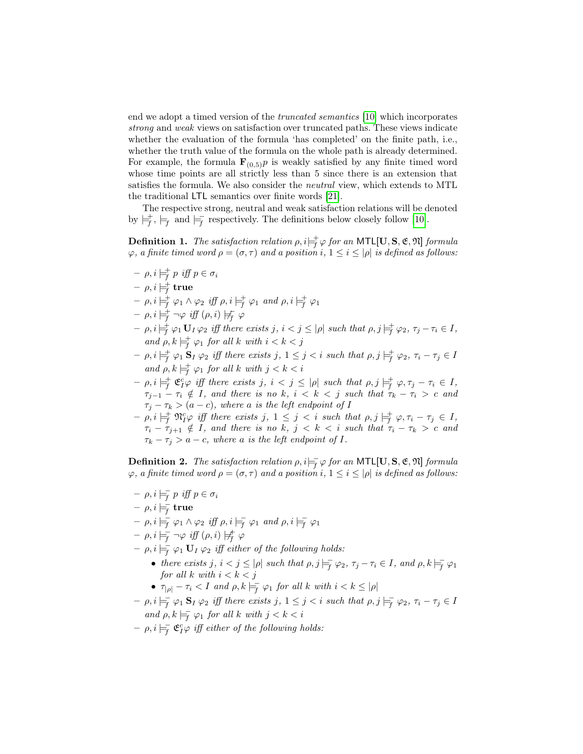end we adopt a timed version of the truncated semantics [\[10\]](#page-14-8) which incorporates strong and weak views on satisfaction over truncated paths. These views indicate whether the evaluation of the formula 'has completed' on the finite path, i.e., whether the truth value of the formula on the whole path is already determined. For example, the formula  $\mathbf{F}_{(0,5)}p$  is weakly satisfied by any finite timed word whose time points are all strictly less than 5 since there is an extension that satisfies the formula. We also consider the neutral view, which extends to MTL the traditional LTL semantics over finite words [\[21\]](#page-15-10).

The respective strong, neutral and weak satisfaction relations will be denoted by  $\vert \neq^+$ ,  $\vert \neq^+$  and  $\vert \neq^-$  respectively. The definitions below closely follow [\[10\]](#page-14-8).

**Definition 1.** The satisfaction relation  $\rho$ ,  $i \models_f^{\pm} \varphi$  for an MTL[U, S, E, N] formula  $\varphi$ , a finite timed word  $\rho = (\sigma, \tau)$  and a position i,  $1 \leq i \leq |\rho|$  is defined as follows:

- $\rho, i \models^+_{f} p \text{ iff } p \in \sigma_i$
- $-\,\rho,i\models_{\!f}^+ \mathtt{true}$
- $\rho, i \models^{\pm}_{\overline{f}} \varphi_1 \wedge \varphi_2 \text{ iff } \rho, i \models^{\pm}_{\overline{f}} \varphi_1 \text{ and } \rho, i \models^{\pm}_{\overline{f}} \varphi_1$
- $\;-\; \rho, i \models_f^+ \neg \varphi \textit{ iff } (\rho, i) \not \models_f^+ \varphi$
- $\rho, i \models^{\pm}_{\overline{f}} \varphi_1 \mathbf{U}_I \varphi_2$  iff there exists  $j, i < j \leq |\rho|$  such that  $\rho, j \models^{\pm}_{\overline{f}} \varphi_2, \tau_j \tau_i \in I$ , and  $\rho, k \models_f^+ \varphi_1$  for all  $k$  with  $i < k < j$
- $\rho, i \models_f^{\pm} \varphi_1 \mathbf{S}_I \varphi_2$  iff there exists  $j, 1 \leq j < i$  such that  $\rho, j \models_f^{\pm} \varphi_2, \tau_i \tau_j \in I$ and  $\rho, k \models_f^+ \varphi_1$  for all k with  $j < k < i$
- $[-\rho, i \models^{\pm}_{\overline{f}} \mathfrak{C}^c_f \varphi \text{ iff there exists } j, i < j \leq |\rho| \text{ such that } \rho, j \models^{\pm}_{\overline{f}} \varphi, \tau_j \tau_i \in I,$  $\tau_{j-1} - \tau_i \notin I$ , and there is no k,  $i < k < j$  such that  $\tau_k - \tau_i > c$  and  $\tau_j - \tau_k > (a - c)$ , where a is the left endpoint of I
- $\rho, i \models^{\pm}_{\overline{f}} \mathfrak{N}^{c}_{\overline{I}} \varphi \text{ iff there exists } j, 1 \leq j < i \text{ such that } \rho, j \models^{\pm}_{\overline{f}} \varphi, \tau_i \tau_j \in I,$  $\tau_i - \tau_{j+1} \notin I$ , and there is no k,  $j < k < i$  such that  $\tau_i - \tau_k > c$  and  $\tau_k - \tau_j > a - c$ , where a is the left endpoint of I.

**Definition 2.** The satisfaction relation  $\rho$ ,  $i \models_f^{\perp} \varphi$  for an MTL[U, S, E, N] formula  $\varphi$ , a finite timed word  $\rho = (\sigma, \tau)$  and a position i,  $1 \leq i \leq |\rho|$  is defined as follows:

- $\rho, i \models_{f} p \text{ iff } p \in \sigma_i$
- $\, \rho , i \models_{\overline{f}} \, \textbf{true}$
- $\rho, i \models_{\overline{f}} \varphi_1 \wedge \varphi_2 \text{ iff } \rho, i \models_{\overline{f}} \varphi_1 \text{ and } \rho, i \models_{\overline{f}} \varphi_1$
- $\rho, i \models_{\!\!\! f}^{\!\!\! -} \neg \varphi \textit{ iff } (\rho, i) \not \models_{\!\!\! f}^{\!\!\! +} \varphi$
- $\rho, i \models_{f}^{\equiv} \varphi_1 \mathbf{U}_I \varphi_2$  iff either of the following holds:
	- there exists j,  $i < j \leq |\rho|$  such that  $\rho, j \models_{\overline{f}} \varphi_2, \tau_j \tau_i \in I$ , and  $\rho, k \models_{\overline{f}} \varphi_1$ for all k with  $i < k < j$
	- $\tau_{|\rho|} \tau_i < I$  and  $\rho, k \models_{f} \varphi_1$  for all k with  $i < k \leq |\rho|$
- $\rho, i \models_{\overline{f}} \varphi_1 \mathbf{S}_I \varphi_2$  iff there exists  $j, 1 \leq j < i$  such that  $\rho, j \models_{\overline{f}} \varphi_2, \tau_i \tau_j \in I$ and  $\rho, k \models_{f} \varphi_1$  for all  $k$  with  $j < k < i$
- $\rho, i \models_{\mathcal{I}}^{\mathcal{I}} \mathfrak{E}^c_I \varphi \text{ iff either of the following holds:}$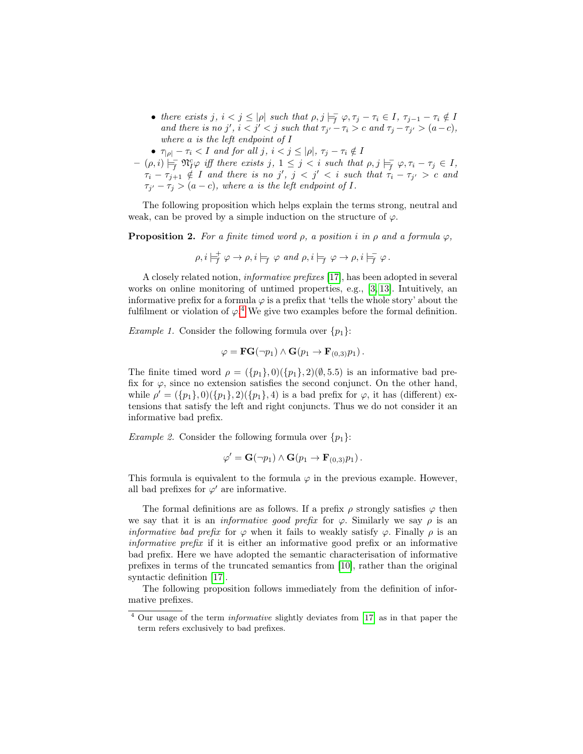- there exists  $j, i < j \leq |\rho|$  such that  $\rho, j \models_{\overline{f}} \varphi, \tau_j \tau_i \in I, \tau_{j-1} \tau_i \notin I$ and there is no j',  $i < j' < j$  such that  $\tau_{j'} - \tau_i > c$  and  $\tau_j - \tau_{j'} > (a - c)$ , where a is the left endpoint of I
- $\tau_{|\rho|} \tau_i < I$  and for all j,  $i < j \leq |\rho|, \tau_j \tau_i \notin I$
- $(-\rho, i) \models_{\overline{f}} \mathfrak{N}_{I}^{c} \varphi$  iff there exists  $j, 1 \leq j < i$  such that  $\rho, j \models_{\overline{f}} \varphi, \tau_i \tau_j \in I$ ,  $\tau_i - \tau_{j+1} \notin I$  and there is no j',  $j < j' < i$  such that  $\tau_i - \tau_{j'} > c$  and  $\tau_{j'} - \tau_j > (a - c)$ , where a is the left endpoint of I.

The following proposition which helps explain the terms strong, neutral and weak, can be proved by a simple induction on the structure of  $\varphi$ .

**Proposition 2.** For a finite timed word  $\rho$ , a position i in  $\rho$  and a formula  $\varphi$ ,

$$
\rho, i \models_f^+ \varphi \to \rho, i \models_f \varphi \text{ and } \rho, i \models_f \varphi \to \rho, i \models_f^+ \varphi.
$$

A closely related notion, informative prefixes [\[17\]](#page-15-2), has been adopted in several works on online monitoring of untimed properties, e.g., [\[3,](#page-14-9) [13\]](#page-15-11). Intuitively, an informative prefix for a formula  $\varphi$  is a prefix that 'tells the whole story' about the fulfilment or violation of  $\varphi$ <sup>[4](#page-5-0)</sup>. We give two examples before the formal definition.

<span id="page-5-2"></span>Example 1. Consider the following formula over  $\{p_1\}$ :

$$
\varphi = \mathbf{FG}(\neg p_1) \land \mathbf{G}(p_1 \rightarrow \mathbf{F}_{(0,3)}p_1).
$$

The finite timed word  $\rho = (\{p_1\}, 0)(\{p_1\}, 2)(\emptyset, 5.5)$  is an informative bad prefix for  $\varphi$ , since no extension satisfies the second conjunct. On the other hand, while  $\rho' = (\{p_1\}, 0)(\{p_1\}, 2)(\{p_1\}, 4)$  is a bad prefix for  $\varphi$ , it has (different) extensions that satisfy the left and right conjuncts. Thus we do not consider it an informative bad prefix.

*Example 2.* Consider the following formula over  $\{p_1\}$ :

$$
\varphi' = \mathbf{G}(\neg p_1) \land \mathbf{G}(p_1 \rightarrow \mathbf{F}_{(0,3)}p_1).
$$

This formula is equivalent to the formula  $\varphi$  in the previous example. However, all bad prefixes for  $\varphi'$  are informative.

The formal definitions are as follows. If a prefix  $\rho$  strongly satisfies  $\varphi$  then we say that it is an *informative good prefix* for  $\varphi$ . Similarly we say  $\rho$  is an *informative bad prefix* for  $\varphi$  when it fails to weakly satisfy  $\varphi$ . Finally  $\rho$  is an informative prefix if it is either an informative good prefix or an informative bad prefix. Here we have adopted the semantic characterisation of informative prefixes in terms of the truncated semantics from [\[10\]](#page-14-8), rather than the original syntactic definition [\[17\]](#page-15-2).

The following proposition follows immediately from the definition of informative prefixes.

<span id="page-5-1"></span><span id="page-5-0"></span><sup>4</sup> Our usage of the term informative slightly deviates from [\[17\]](#page-15-2) as in that paper the term refers exclusively to bad prefixes.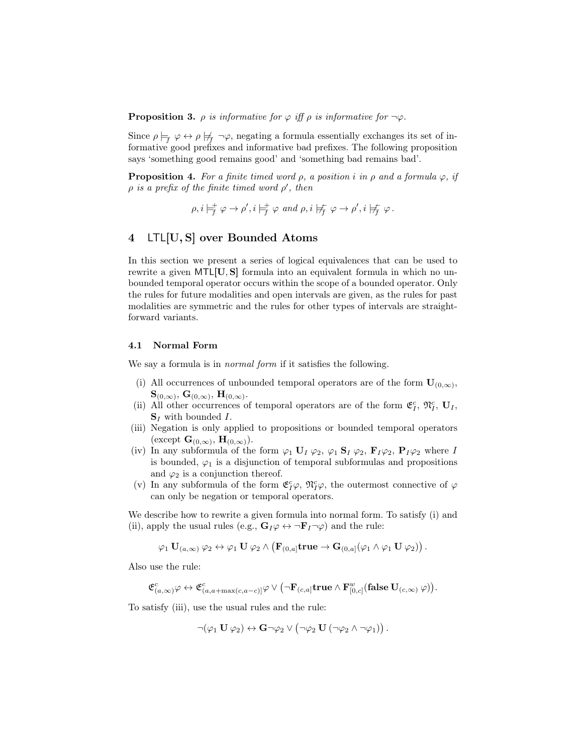**Proposition 3.**  $\rho$  is informative for  $\varphi$  iff  $\rho$  is informative for  $\neg \varphi$ .

Since  $\rho \models_f \varphi \leftrightarrow \rho \not \models_f \neg \varphi$ , negating a formula essentially exchanges its set of informative good prefixes and informative bad prefixes. The following proposition says 'something good remains good' and 'something bad remains bad'.

**Proposition 4.** For a finite timed word  $\rho$ , a position i in  $\rho$  and a formula  $\varphi$ , if  $\rho$  is a prefix of the finite timed word  $\rho'$ , then

<span id="page-6-1"></span>
$$
\rho, i \models_f^+ \varphi \to \rho', i \models_f^+ \varphi \text{ and } \rho, i \not\models_f^- \varphi \to \rho', i \not\models_f^- \varphi.
$$

## <span id="page-6-0"></span>4 LTL[U, S] over Bounded Atoms

In this section we present a series of logical equivalences that can be used to rewrite a given MTL[U, S] formula into an equivalent formula in which no unbounded temporal operator occurs within the scope of a bounded operator. Only the rules for future modalities and open intervals are given, as the rules for past modalities are symmetric and the rules for other types of intervals are straightforward variants.

#### 4.1 Normal Form

We say a formula is in *normal form* if it satisfies the following.

- (i) All occurrences of unbounded temporal operators are of the form  $\mathbf{U}_{(0,\infty)}$ ,  $\mathbf{S}_{(0,\infty)},\,\mathbf{G}_{(0,\infty)},\,\mathbf{H}_{(0,\infty)}.$
- (ii) All other occurrences of temporal operators are of the form  $\mathfrak{E}_I^c$ ,  $\mathfrak{N}_I^c$ ,  $\mathbf{U}_I$ ,  $S_I$  with bounded I.
- (iii) Negation is only applied to propositions or bounded temporal operators (except  $\mathbf{G}_{(0,\infty)}$ ,  $\mathbf{H}_{(0,\infty)}$ ).
- (iv) In any subformula of the form  $\varphi_1$  U<sub>I</sub>  $\varphi_2$ ,  $\varphi_1$  S<sub>I</sub>  $\varphi_2$ ,  $\mathbf{F}_I\varphi_2$ ,  $\mathbf{P}_I\varphi_2$  where I is bounded,  $\varphi_1$  is a disjunction of temporal subformulas and propositions and  $\varphi_2$  is a conjunction thereof.
- (v) In any subformula of the form  $\mathfrak{E}^c_I\varphi$ ,  $\mathfrak{N}^c_I\varphi$ , the outermost connective of  $\varphi$ can only be negation or temporal operators.

We describe how to rewrite a given formula into normal form. To satisfy (i) and (ii), apply the usual rules (e.g.,  $\mathbf{G}_I \varphi \leftrightarrow \neg \mathbf{F}_I \neg \varphi$ ) and the rule:

$$
\varphi_1 \; \mathbf{U}_{(a,\infty)} \; \varphi_2 \leftrightarrow \varphi_1 \; \mathbf{U} \; \varphi_2 \; \wedge \; \big( \mathbf{F}_{(0,a]} \mathbf{true} \to \mathbf{G}_{(0,a]} (\varphi_1 \wedge \varphi_1 \; \mathbf{U} \; \varphi_2) \big) \, .
$$

Also use the rule:

$$
\mathfrak{E}^c_{(a,\infty)}\varphi\leftrightarrow \mathfrak{E}^c_{(a,a+\max(c,a-c)]}\varphi\vee \bigl(\neg \mathbf{F}_{(c,a]}\mathbf{true}\wedge \mathbf{F}^w_{[0,c]}(\mathbf{false}\,\mathbf{U}_{(c,\infty)}\,\varphi)\bigr).
$$

To satisfy (iii), use the usual rules and the rule:

$$
\lnot(\varphi_1 \mathbf{U} \varphi_2) \leftrightarrow \mathbf{G} \lnot \varphi_2 \lor (\lnot \varphi_2 \mathbf{U} \left( \lnot \varphi_2 \land \lnot \varphi_1 \right)).
$$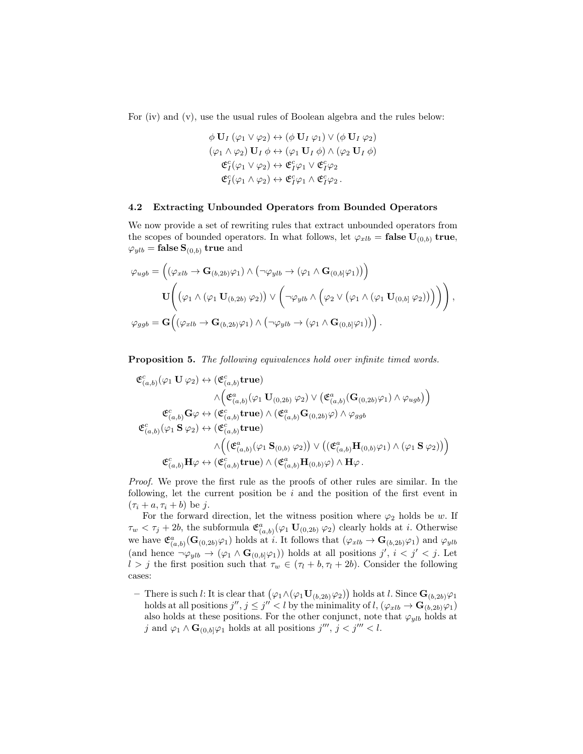For (iv) and (v), use the usual rules of Boolean algebra and the rules below:

$$
\phi \mathbf{U}_I (\varphi_1 \vee \varphi_2) \leftrightarrow (\phi \mathbf{U}_I \varphi_1) \vee (\phi \mathbf{U}_I \varphi_2)
$$
  
\n
$$
(\varphi_1 \wedge \varphi_2) \mathbf{U}_I \phi \leftrightarrow (\varphi_1 \mathbf{U}_I \phi) \wedge (\varphi_2 \mathbf{U}_I \phi)
$$
  
\n
$$
\mathfrak{E}_I^c(\varphi_1 \vee \varphi_2) \leftrightarrow \mathfrak{E}_I^c \varphi_1 \vee \mathfrak{E}_I^c \varphi_2
$$
  
\n
$$
\mathfrak{E}_I^c(\varphi_1 \wedge \varphi_2) \leftrightarrow \mathfrak{E}_I^c \varphi_1 \wedge \mathfrak{E}_I^c \varphi_2.
$$

#### <span id="page-7-0"></span>4.2 Extracting Unbounded Operators from Bounded Operators

We now provide a set of rewriting rules that extract unbounded operators from the scopes of bounded operators. In what follows, let  $\varphi_{xlb} = \textbf{false } \mathbf{U}_{(0,b)}$  true,  $\varphi_{ylb} = \textbf{false } \mathbf{S}_{(0,b)}$  true and

$$
\varphi_{ugb} = \left( (\varphi_{xlb} \to \mathbf{G}_{(b,2b)}\varphi_1) \land (\neg \varphi_{ylb} \to (\varphi_1 \land \mathbf{G}_{(0,b]}\varphi_1)) \right)
$$

$$
\mathbf{U}\Bigg( (\varphi_1 \land (\varphi_1 \mathbf{U}_{(b,2b)}\varphi_2)) \lor (\neg \varphi_{ylb} \land (\varphi_2 \lor (\varphi_1 \land (\varphi_1 \mathbf{U}_{(0,b]}\varphi_2))) \Big) \Bigg),
$$

$$
\varphi_{ggb} = \mathbf{G}\Big((\varphi_{xlb} \to \mathbf{G}_{(b,2b)}\varphi_1) \land (\neg \varphi_{ylb} \to (\varphi_1 \land \mathbf{G}_{(0,b]}\varphi_1)) \Big) .
$$

<span id="page-7-1"></span>Proposition 5. The following equivalences hold over infinite timed words.

$$
\begin{split} \mathfrak{E}^c_{(a,b)}(\varphi_1 \ \mathbf{U} \ \varphi_2) &\leftrightarrow (\mathfrak{E}^c_{(a,b)} \mathbf{true}) \\ &\qquad \qquad \wedge \Big( \mathfrak{E}^a_{(a,b)}(\varphi_1 \ \mathbf{U}_{(0,2b)} \ \varphi_2) \vee \big( \mathfrak{E}^a_{(a,b)}(\mathbf{G}_{(0,2b)}\varphi_1) \wedge \varphi_{ugb} \big) \Big) \\ &\qquad \qquad \mathfrak{E}^c_{(a,b)} \mathbf{G} \varphi \leftrightarrow (\mathfrak{E}^c_{(a,b)} \mathbf{true}) \wedge (\mathfrak{E}^a_{(a,b)} \mathbf{G}_{(0,2b)}\varphi) \wedge \varphi_{ggb} \\ &\qquad \qquad \mathfrak{E}^c_{(a,b)}(\varphi_1 \ \mathbf{S} \ \varphi_2) \leftrightarrow (\mathfrak{E}^c_{(a,b)} \mathbf{true}) \\ &\qquad \qquad \wedge \Big( (\mathfrak{E}^a_{(a,b)}(\varphi_1 \ \mathbf{S}_{(0,b)} \ \varphi_2)) \vee \big( (\mathfrak{E}^a_{(a,b)} \mathbf{H}_{(0,b)}\varphi_1) \wedge (\varphi_1 \ \mathbf{S} \ \varphi_2) \big) \Big) \\ &\qquad \qquad \qquad \qquad \qquad \qquad \wedge \Big( \mathfrak{E}^c_{(a,b)} \mathbf{true} \wedge (\mathfrak{E}^a_{(a,b)} \mathbf{H}_{(0,b)}\varphi) \wedge \mathbf{H} \varphi \ . \end{split}
$$

Proof. We prove the first rule as the proofs of other rules are similar. In the following, let the current position be  $i$  and the position of the first event in  $(\tau_i + a, \tau_i + b)$  be j.

For the forward direction, let the witness position where  $\varphi_2$  holds be w. If  $\tau_w < \tau_j + 2b$ , the subformula  $\mathfrak{E}^a_{(a,b)}(\varphi_1 \mathbf{U}_{(0,2b)} \varphi_2)$  clearly holds at *i*. Otherwise we have  $\mathfrak{E}^a_{(a,b)}(\mathbf{G}_{(0,2b)}\varphi_1)$  holds at i. It follows that  $(\varphi_{xlb} \to \mathbf{G}_{(b,2b)}\varphi_1)$  and  $\varphi_{ylb}$ (and hence  $\neg \varphi_{ylb} \to (\varphi_1 \wedge \mathbf{G}_{(0,b]} \varphi_1))$  holds at all positions  $j', i < j' < j$ . Let  $l > j$  the first position such that  $\tau_w \in (\tau_l + b, \tau_l + 2b)$ . Consider the following cases:

 $-$  There is such *l*: It is clear that  $(\varphi_1 \land (\varphi_1 \mathbf{U}_{(b,2b)} \varphi_2))$  holds at *l*. Since **G**<sub>(*b*,2*b*) $\varphi_1$ </sub> holds at all positions  $j'', j \leq j'' < l$  by the minimality of  $l$ ,  $(\varphi_{xlb} \to \mathbf{G}_{(b,2b)}\varphi_1)$ also holds at these positions. For the other conjunct, note that  $\varphi_{ylb}$  holds at j and  $\varphi_1 \wedge \mathbf{G}_{(0,b]} \varphi_1$  holds at all positions  $j''', j < j''' < l$ .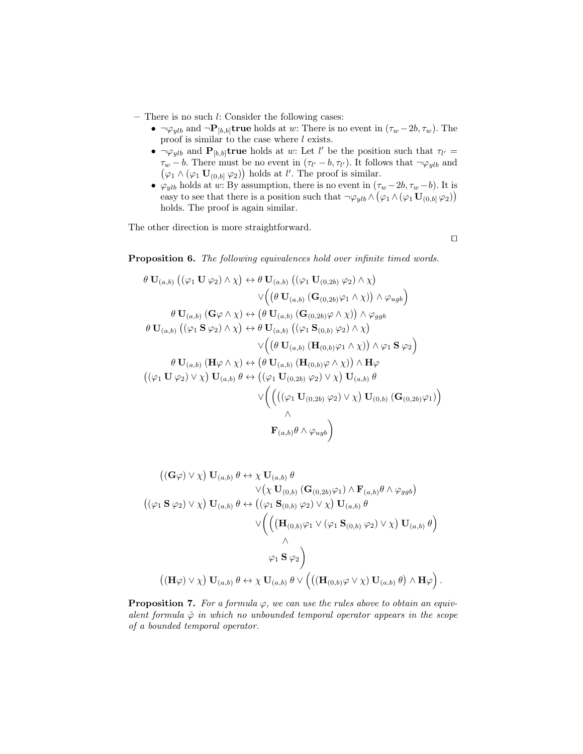- There is no such l: Consider the following cases:
	- $\neg \varphi_{ylb}$  and  $\neg \mathbf{P}_{[b,b]}$ true holds at w: There is no event in  $(\tau_w 2b, \tau_w)$ . The proof is similar to the case where  $l$  exists.
	- $\neg \varphi_{ylb}$  and  $\mathbf{P}_{[b,b]}$ true holds at w: Let l' be the position such that  $\tau_{l'} =$  $\tau_w - b$ . There must be no event in  $(\tau_{l'} - b, \tau_{l'})$ . It follows that  $\neg \varphi_{ylb}$  and  $(\varphi_1 \wedge (\varphi_1 \mathbf{U}_{(0,b]} \varphi_2))$  holds at l'. The proof is similar.
	- $\varphi_{ylb}$  holds at w: By assumption, there is no event in  $(\tau_w 2b, \tau_w b)$ . It is easy to see that there is a position such that  $\neg \varphi_{ylb} \wedge (\varphi_1 \wedge (\varphi_1 \mathbf{U}_{(0,b]} \varphi_2))$ holds. The proof is again similar.

The other direction is more straightforward.

 $\Box$ 

Proposition 6. The following equivalences hold over infinite timed words.

$$
\theta \mathbf{U}_{(a,b)} (\left(\varphi_1 \mathbf{U} \varphi_2) \wedge \chi\right) \leftrightarrow \theta \mathbf{U}_{(a,b)} (\left(\varphi_1 \mathbf{U}_{(0,2b)} \varphi_2) \wedge \chi\right)
$$
  

$$
\vee \left(\left(\theta \mathbf{U}_{(a,b)} (\mathbf{G}_{(0,2b)} \varphi_1 \wedge \chi)\right) \wedge \varphi_{ugb}\right)
$$
  

$$
\theta \mathbf{U}_{(a,b)} (\mathbf{G}\varphi \wedge \chi) \leftrightarrow \left(\theta \mathbf{U}_{(a,b)} (\mathbf{G}_{(0,2b)} \varphi \wedge \chi)\right) \wedge \varphi_{ggb}
$$
  

$$
\theta \mathbf{U}_{(a,b)} (\left(\varphi_1 \mathbf{S} \varphi_2) \wedge \chi\right) \leftrightarrow \theta \mathbf{U}_{(a,b)} (\left(\varphi_1 \mathbf{S}_{(0,b)} \varphi_2) \wedge \chi\right)
$$
  

$$
\vee \left(\left(\theta \mathbf{U}_{(a,b)} (\mathbf{H}_{(0,b)} \varphi_1 \wedge \chi)\right) \wedge \varphi_1 \mathbf{S} \varphi_2\right)
$$
  

$$
\theta \mathbf{U}_{(a,b)} (\mathbf{H}\varphi \wedge \chi) \leftrightarrow \left(\theta \mathbf{U}_{(a,b)} (\mathbf{H}_{(0,b)} \varphi \wedge \chi)\right) \wedge \mathbf{H}\varphi
$$
  

$$
(\left(\varphi_1 \mathbf{U} \varphi_2) \vee \chi\right) \mathbf{U}_{(a,b)} \theta \leftrightarrow \left((\varphi_1 \mathbf{U}_{(0,2b)} \varphi_2) \vee \chi\right) \mathbf{U}_{(a,b)} \theta
$$
  

$$
\vee \left(\left(\left((\varphi_1 \mathbf{U}_{(0,2b)} \varphi_2) \vee \chi\right) \mathbf{U}_{(0,b)} (\mathbf{G}_{(0,2b)} \varphi_1)\right) \wedge \right)
$$
  

$$
\wedge
$$
  

$$
\mathbf{F}_{(a,b)} \theta \wedge \varphi_{ugb}\right)
$$

$$
((\mathbf{G}\varphi)\vee\chi)\mathbf{U}_{(a,b)}\theta \leftrightarrow \chi \mathbf{U}_{(a,b)}\theta
$$
  

$$
\vee(\chi \mathbf{U}_{(0,b)}(\mathbf{G}_{(0,2b)}\varphi_1) \wedge \mathbf{F}_{(a,b)}\theta \wedge \varphi_{ggb})
$$
  

$$
((\varphi_1 \mathbf{S}\varphi_2) \vee \chi)\mathbf{U}_{(a,b)}\theta \leftrightarrow ((\varphi_1 \mathbf{S}_{(0,b)}\varphi_2) \vee \chi)\mathbf{U}_{(a,b)}\theta
$$
  

$$
\vee \left(\left(\left(\mathbf{H}_{(0,b)}\varphi_1 \vee (\varphi_1 \mathbf{S}_{(0,b)}\varphi_2) \vee \chi\right) \mathbf{U}_{(a,b)}\theta\right) \wedge \right.\wedge
$$
  

$$
\varphi_1 \mathbf{S}\varphi_2\right)
$$
  

$$
((\mathbf{H}\varphi) \vee \chi)\mathbf{U}_{(a,b)}\theta \leftrightarrow \chi \mathbf{U}_{(a,b)}\theta \vee \left(\left((\mathbf{H}_{(0,b)}\varphi \vee \chi)\mathbf{U}_{(a,b)}\theta\right) \wedge \mathbf{H}\varphi\right).
$$

**Proposition 7.** For a formula  $\varphi$ , we can use the rules above to obtain an equivalent formula  $\hat{\varphi}$  in which no unbounded temporal operator appears in the scope of a bounded temporal operator.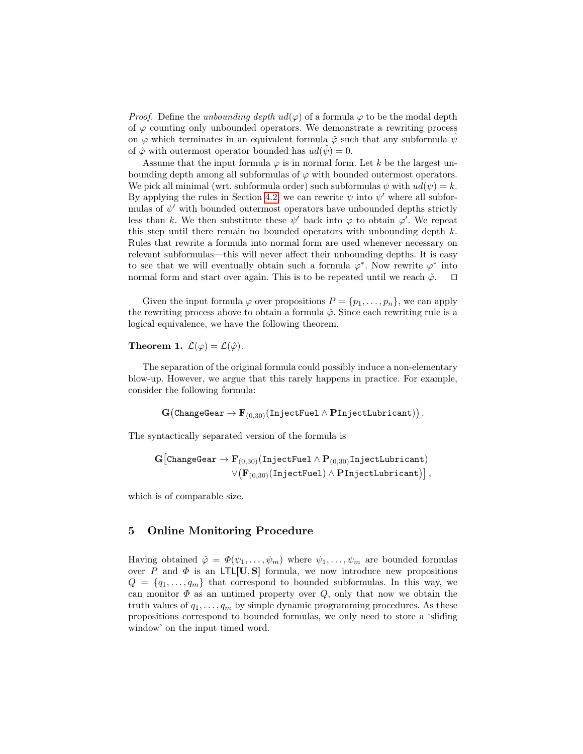*Proof.* Define the unbounding depth  $ud(\varphi)$  of a formula  $\varphi$  to be the modal depth of  $\varphi$  counting only unbounded operators. We demonstrate a rewriting process on  $\varphi$  which terminates in an equivalent formula  $\varphi$  such that any subformula  $\psi$ of  $\hat{\varphi}$  with outermost operator bounded has  $ud(\psi) = 0$ .

Assume that the input formula  $\varphi$  is in normal form. Let k be the largest unbounding depth among all subformulas of  $\varphi$  with bounded outermost operators. We pick all minimal (wrt. subformula order) such subformulas  $\psi$  with  $ud(\psi) = k$ . By applying the rules in Section [4.2,](#page-7-0) we can rewrite  $\psi$  into  $\psi'$  where all subformulas of  $\psi'$  with bounded outermost operators have unbounded depths strictly less than k. We then substitute these  $\psi'$  back into  $\varphi$  to obtain  $\varphi'$ . We repeat this step until there remain no bounded operators with unbounding depth  $k$ . Rules that rewrite a formula into normal form are used whenever necessary on relevant subformulas—this will never affect their unbounding depths. It is easy to see that we will eventually obtain such a formula  $\varphi^*$ . Now rewrite  $\varphi^*$  into normal form and start over again. This is to be repeated until we reach  $\hat{\varphi}$ .  $\square$ 

Given the input formula  $\varphi$  over propositions  $P = \{p_1, \ldots, p_n\}$ , we can apply the rewriting process above to obtain a formula  $\hat{\varphi}$ . Since each rewriting rule is a logical equivalence, we have the following theorem.

Theorem 1.  $\mathcal{L}(\varphi) = \mathcal{L}(\hat{\varphi})$ .

The separation of the original formula could possibly induce a non-elementary blow-up. However, we argue that this rarely happens in practice. For example, consider the following formula:

 ${\bf G}\big(\texttt{ChangeGear} \rightarrow {\bf F}_{(0,30)}(\texttt{InjectFull} \wedge \textbf{PInjectLubricant})\big)$  .

The syntactically separated version of the formula is

$$
\begin{aligned} \mathbf{G}\big[\texttt{ChangeGear} \rightarrow \mathbf{F}_{(0,30)}(\texttt{InjectFuel} \land \mathbf{P}_{(0,30)}\texttt{InjectLubricant}) \\ & \lor \big(\mathbf{F}_{(0,30)}(\texttt{InjectFuel}) \land \mathbf{PInjectLubricant})\big]\,, \end{aligned}
$$

which is of comparable size.

### 5 Online Monitoring Procedure

Having obtained  $\hat{\varphi} = \Phi(\psi_1, \ldots, \psi_m)$  where  $\psi_1, \ldots, \psi_m$  are bounded formulas over P and  $\Phi$  is an LTL[U, S] formula, we now introduce new propositions  $Q = \{q_1, \ldots, q_m\}$  that correspond to bounded subformulas. In this way, we can monitor  $\Phi$  as an untimed property over  $Q$ , only that now we obtain the truth values of  $q_1, \ldots, q_m$  by simple dynamic programming procedures. As these propositions correspond to bounded formulas, we only need to store a 'sliding window' on the input timed word.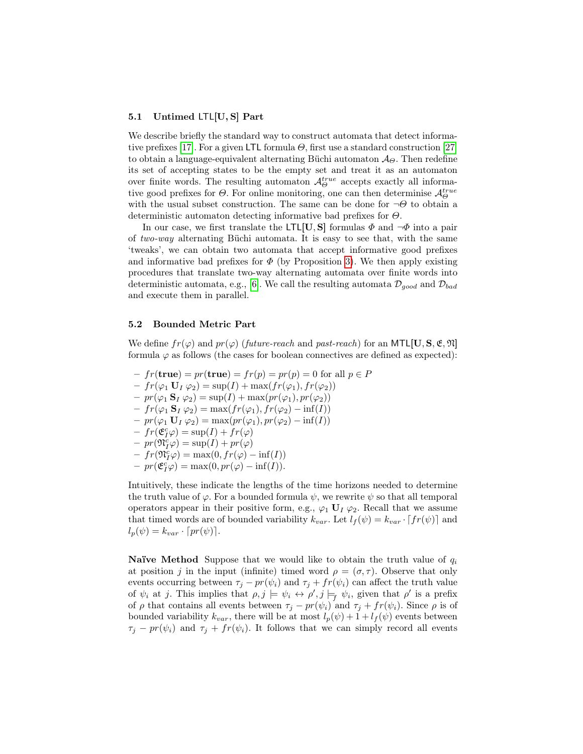#### 5.1 Untimed LTL[U, S] Part

We describe briefly the standard way to construct automata that detect informa-tive prefixes [\[17\]](#page-15-2). For a given LTL formula  $\Theta$ , first use a standard construction [\[27\]](#page-15-12) to obtain a language-equivalent alternating Büchi automaton  $\mathcal{A}_{\Theta}$ . Then redefine its set of accepting states to be the empty set and treat it as an automaton over finite words. The resulting automaton  $\mathcal{A}_{\Theta}^{true}$  accepts exactly all informative good prefixes for  $\Theta$ . For online monitoring, one can then determinise  $\mathcal{A}_{\Theta}^{true}$ with the usual subset construction. The same can be done for  $\neg\Theta$  to obtain a deterministic automaton detecting informative bad prefixes for  $\Theta$ .

In our case, we first translate the LTL[U, S] formulas  $\Phi$  and  $\neg \Phi$  into a pair of two-way alternating Büchi automata. It is easy to see that, with the same 'tweaks', we can obtain two automata that accept informative good prefixes and informative bad prefixes for  $\Phi$  (by Proposition [3\)](#page-5-1). We then apply existing procedures that translate two-way alternating automata over finite words into deterministic automata, e.g., [\[6\]](#page-14-10). We call the resulting automata  $\mathcal{D}_{good}$  and  $\mathcal{D}_{bad}$ and execute them in parallel.

#### <span id="page-10-0"></span>5.2 Bounded Metric Part

We define  $fr(\varphi)$  and  $pr(\varphi)$  (future-reach and past-reach) for an MTL[U, S, E, N] formula  $\varphi$  as follows (the cases for boolean connectives are defined as expected):

 $- fr(\mathbf{true}) = pr(\mathbf{true}) = fr(p) = pr(p) = 0$  for all  $p \in P$  $-fr(\varphi_1 \mathbf{U}_I \varphi_2) = \sup(I) + \max(fr(\varphi_1), fr(\varphi_2))$  $- pr(\varphi_1 \mathbf{S}_I \varphi_2) = \sup(I) + \max(pr(\varphi_1), pr(\varphi_2))$  $-fr(\varphi_1 \mathbf{S}_I \varphi_2) = \max(fr(\varphi_1), fr(\varphi_2) - inf(I))$  $- pr(\varphi_1 \mathbf{U}_I \varphi_2) = \max(pr(\varphi_1), pr(\varphi_2) - \inf(I))$  $-fr(\mathfrak{E}_I^c \varphi) = \sup(I) + fr(\varphi)$  $- pr(\mathfrak{N}_I^c \varphi) = \sup(I) + pr(\varphi)$  $-f r(\mathfrak{N}_I^c \varphi) = \max(0, fr(\varphi) - \inf(I))$  $- pr(\mathfrak{E}_I^c \varphi) = \max(0, pr(\varphi) - \inf(I)).$ 

Intuitively, these indicate the lengths of the time horizons needed to determine the truth value of  $\varphi$ . For a bounded formula  $\psi$ , we rewrite  $\psi$  so that all temporal operators appear in their positive form, e.g.,  $\varphi_1 \mathbf{U}_I \varphi_2$ . Recall that we assume that timed words are of bounded variability  $k_{var}$ . Let  $l_f(\psi) = k_{var} \cdot [fr(\psi)]$  and  $l_p(\psi) = k_{var} \cdot [pr(\psi)].$ 

**Naïve Method** Suppose that we would like to obtain the truth value of  $q_i$ at position j in the input (infinite) timed word  $\rho = (\sigma, \tau)$ . Observe that only events occurring between  $\tau_j - pr(\psi_i)$  and  $\tau_j + fr(\psi_i)$  can affect the truth value of  $\psi_i$  at j. This implies that  $\rho, j \models \psi_i \leftrightarrow \rho', j \models_f \psi_i$ , given that  $\rho'$  is a prefix of  $\rho$  that contains all events between  $\tau_j - pr(\psi_i)$  and  $\tau_j + fr(\psi_i)$ . Since  $\rho$  is of bounded variability  $k_{var}$ , there will be at most  $l_p(\psi) + 1 + l_f(\psi)$  events between  $\tau_j - pr(\psi_i)$  and  $\tau_j + fr(\psi_i)$ . It follows that we can simply record all events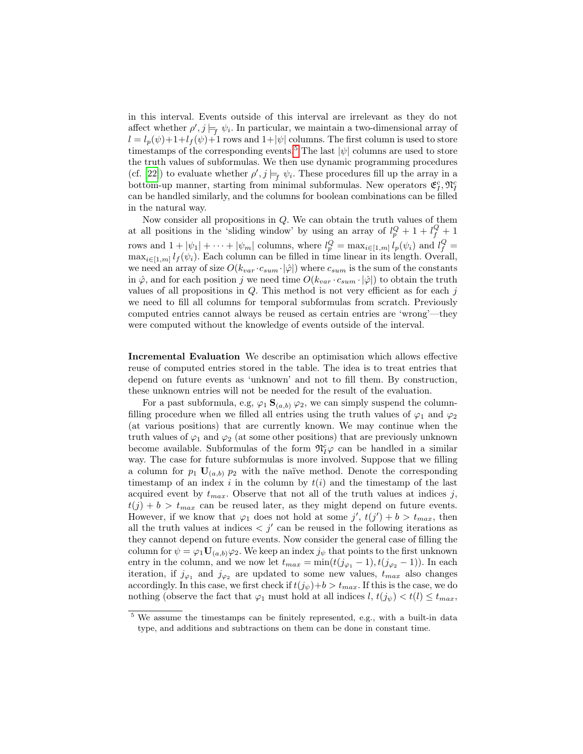in this interval. Events outside of this interval are irrelevant as they do not affect whether  $\rho', j \models_f \psi_i$ . In particular, we maintain a two-dimensional array of  $l = l_p(\psi) + 1 + l_f(\psi) + 1$  rows and  $1 + |\psi|$  columns. The first column is used to store timestamps of the corresponding events.<sup>[5](#page-11-0)</sup> The last  $|\psi|$  columns are used to store the truth values of subformulas. We then use dynamic programming procedures (cf. [\[22\]](#page-15-13)) to evaluate whether  $\rho', j \models_f \psi_i$ . These procedures fill up the array in a bottom-up manner, starting from minimal subformulas. New operators  $\mathfrak{E}^c_I, \mathfrak{N}^c_I$ can be handled similarly, and the columns for boolean combinations can be filled in the natural way.

Now consider all propositions in Q. We can obtain the truth values of them at all positions in the 'sliding window' by using an array of  $l_p^Q + 1 + l_f^Q + 1$ rows and  $1 + |\psi_1| + \cdots + |\psi_m|$  columns, where  $l_p^Q = \max_{i \in [1,m]} l_p(\psi_i)$  and  $l_f^Q =$  $\max_{i\in[1,m]} l_f(\psi_i)$ . Each column can be filled in time linear in its length. Overall, we need an array of size  $O(k_{var} \cdot c_{sum} \cdot |\hat{\varphi}|)$  where  $c_{sum}$  is the sum of the constants in  $\hat{\varphi}$ , and for each position j we need time  $O(k_{var} \cdot c_{sum} \cdot |\hat{\varphi}|)$  to obtain the truth values of all propositions in  $Q$ . This method is not very efficient as for each j we need to fill all columns for temporal subformulas from scratch. Previously computed entries cannot always be reused as certain entries are 'wrong'—they were computed without the knowledge of events outside of the interval.

Incremental Evaluation We describe an optimisation which allows effective reuse of computed entries stored in the table. The idea is to treat entries that depend on future events as 'unknown' and not to fill them. By construction, these unknown entries will not be needed for the result of the evaluation.

For a past subformula, e.g,  $\varphi_1 \mathbf{S}_{(a,b)} \varphi_2$ , we can simply suspend the columnfilling procedure when we filled all entries using the truth values of  $\varphi_1$  and  $\varphi_2$ (at various positions) that are currently known. We may continue when the truth values of  $\varphi_1$  and  $\varphi_2$  (at some other positions) that are previously unknown become available. Subformulas of the form  $\mathfrak{N}^c_I\varphi$  can be handled in a similar way. The case for future subformulas is more involved. Suppose that we filling a column for  $p_1$   $\mathbf{U}_{(a,b)}$   $p_2$  with the naïve method. Denote the corresponding timestamp of an index i in the column by  $t(i)$  and the timestamp of the last acquired event by  $t_{max}$ . Observe that not all of the truth values at indices j,  $t(j) + b > t_{max}$  can be reused later, as they might depend on future events. However, if we know that  $\varphi_1$  does not hold at some  $j'$ ,  $t(j') + b > t_{max}$ , then all the truth values at indices  $\langle j' \rangle$  can be reused in the following iterations as they cannot depend on future events. Now consider the general case of filling the column for  $\psi = \varphi_1 \mathbf{U}_{(a,b)}\varphi_2$ . We keep an index  $j_{\psi}$  that points to the first unknown entry in the column, and we now let  $t_{max} = \min(t(j_{\varphi_1} - 1), t(j_{\varphi_2} - 1))$ . In each iteration, if  $j_{\varphi_1}$  and  $j_{\varphi_2}$  are updated to some new values,  $t_{max}$  also changes accordingly. In this case, we first check if  $t(j_{\psi})+b > t_{max}$ . If this is the case, we do nothing (observe the fact that  $\varphi_1$  must hold at all indices  $l, t(j_{\psi}) < t(l) \leq t_{max}$ ,

<span id="page-11-0"></span><sup>5</sup> We assume the timestamps can be finitely represented, e.g., with a built-in data type, and additions and subtractions on them can be done in constant time.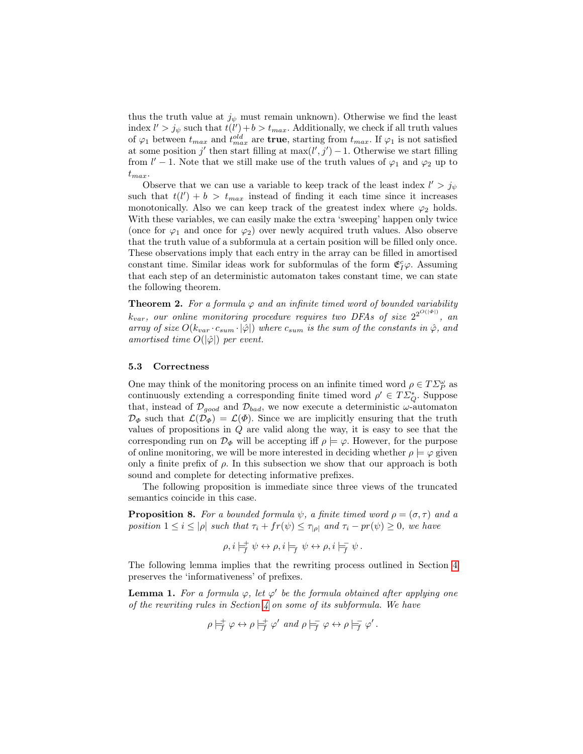thus the truth value at  $j_{\psi}$  must remain unknown). Otherwise we find the least index  $l' > j_{\psi}$  such that  $t(l') + b > t_{max}$ . Additionally, we check if all truth values of  $\varphi_1$  between  $t_{max}$  and  $t_{max}^{old}$  are **true**, starting from  $t_{max}$ . If  $\varphi_1$  is not satisfied at some position j' then start filling at  $\max(l', j') - 1$ . Otherwise we start filling from  $l' - 1$ . Note that we still make use of the truth values of  $\varphi_1$  and  $\varphi_2$  up to  $t_{max}$ .

Observe that we can use a variable to keep track of the least index  $l' > j_{\psi}$ such that  $t(l') + b > t_{max}$  instead of finding it each time since it increases monotonically. Also we can keep track of the greatest index where  $\varphi_2$  holds. With these variables, we can easily make the extra 'sweeping' happen only twice (once for  $\varphi_1$  and once for  $\varphi_2$ ) over newly acquired truth values. Also observe that the truth value of a subformula at a certain position will be filled only once. These observations imply that each entry in the array can be filled in amortised constant time. Similar ideas work for subformulas of the form  $\mathfrak{C}^c_I \varphi$ . Assuming that each step of an deterministic automaton takes constant time, we can state the following theorem.

**Theorem 2.** For a formula  $\varphi$  and an infinite timed word of bounded variability  $k_{var}$ , our online monitoring procedure requires two DFAs of size  $2^{2^{O(|\Phi|)}}$ , an array of size  $O(k_{var} \cdot c_{sum} \cdot |\hat{\varphi}|)$  where  $c_{sum}$  is the sum of the constants in  $\hat{\varphi}$ , and amortised time  $O(|\hat{\varphi}|)$  per event.

#### 5.3 Correctness

One may think of the monitoring process on an infinite timed word  $\rho \in T\varSigma_{P}^{\omega}$  as continuously extending a corresponding finite timed word  $\rho' \in T\mathcal{Z}_Q^*$ . Suppose that, instead of  $\mathcal{D}_{good}$  and  $\mathcal{D}_{bad}$ , we now execute a deterministic  $\omega$ -automaton  $\mathcal{D}_{\Phi}$  such that  $\mathcal{L}(\mathcal{D}_{\Phi}) = \mathcal{L}(\Phi)$ . Since we are implicitly ensuring that the truth values of propositions in  $Q$  are valid along the way, it is easy to see that the corresponding run on  $\mathcal{D}_{\Phi}$  will be accepting iff  $\rho \models \varphi$ . However, for the purpose of online monitoring, we will be more interested in deciding whether  $\rho \models \varphi$  given only a finite prefix of  $\rho$ . In this subsection we show that our approach is both sound and complete for detecting informative prefixes.

The following proposition is immediate since three views of the truncated semantics coincide in this case.

**Proposition 8.** For a bounded formula  $\psi$ , a finite timed word  $\rho = (\sigma, \tau)$  and a position  $1 \leq i \leq |\rho|$  such that  $\tau_i + fr(\psi) \leq \tau_{|\rho|}$  and  $\tau_i - pr(\psi) \geq 0$ , we have

<span id="page-12-0"></span>
$$
\rho, i \models_f^+ \psi \leftrightarrow \rho, i \models_f \psi \leftrightarrow \rho, i \models_f^- \psi.
$$

The following lemma implies that the rewriting process outlined in Section [4](#page-6-0) preserves the 'informativeness' of prefixes.

**Lemma 1.** For a formula  $\varphi$ , let  $\varphi'$  be the formula obtained after applying one of the rewriting rules in Section  $\lambda$  on some of its subformula. We have

$$
\rho \models_f^+ \varphi \leftrightarrow \rho \models_f^+ \varphi' \text{ and } \rho \models_f^- \varphi \leftrightarrow \rho \models_f^- \varphi'.
$$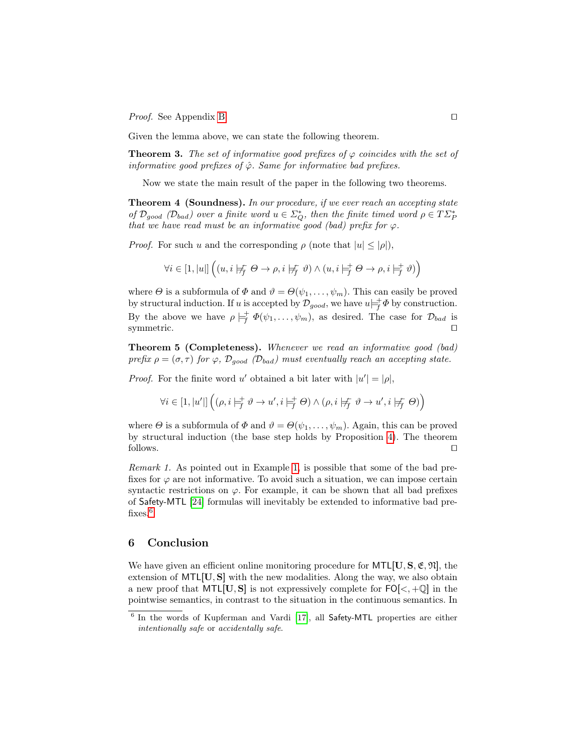*Proof.* See Appendix [B.](#page-20-0)  $\Box$ 

Given the lemma above, we can state the following theorem.

**Theorem 3.** The set of informative good prefixes of  $\varphi$  coincides with the set of informative good prefixes of  $\hat{\varphi}$ . Same for informative bad prefixes.

Now we state the main result of the paper in the following two theorems.

Theorem 4 (Soundness). In our procedure, if we ever reach an accepting state of  $\mathcal{D}_{good}$  ( $\mathcal{D}_{bad}$ ) over a finite word  $u \in \Sigma_Q^*$ , then the finite timed word  $\rho \in T\mathcal{D}_P^*$ that we have read must be an informative good (bad) prefix for  $\varphi$ .

*Proof.* For such u and the corresponding  $\rho$  (note that  $|u| \leq |\rho|$ ),

$$
\forall i \in [1,|u|] \left( (u,i \not \models_{\!\!\! f}^{\!\!\!\!\!\!\! f} \ \theta \rightarrow \rho, i \not \models_{\!\!\! f}^{\!\!\!\!\! f} \ \vartheta) \land (u,i \not \models_{\!\!\! f}^{\!\!\!\!\! \vdash} \theta \rightarrow \rho, i \not \models_{\!\!\! f}^{\!\!\!\! \vdash} \vartheta) \right)
$$

where  $\Theta$  is a subformula of  $\Phi$  and  $\vartheta = \Theta(\psi_1, \dots, \psi_m)$ . This can easily be proved by structural induction. If u is accepted by  $\mathcal{D}_{good}$ , we have  $u\vert \equiv f \Phi$  by construction. By the above we have  $\rho \models_f^+ \Phi(\psi_1, \ldots, \psi_m)$ , as desired. The case for  $\mathcal{D}_{bad}$  is symmetric.  $\Box$ 

Theorem 5 (Completeness). Whenever we read an informative good (bad) prefix  $\rho = (\sigma, \tau)$  for  $\varphi$ ,  $\mathcal{D}_{good}$  ( $\mathcal{D}_{bad}$ ) must eventually reach an accepting state.

*Proof.* For the finite word u' obtained a bit later with  $|u'| = |\rho|$ ,

$$
\forall i \in [1,|u'|] \left( (\rho, i \models_{f}^{+} \vartheta \to u', i \models_{f}^{+} \Theta) \wedge (\rho, i \not \models_{f}^{-} \vartheta \to u', i \not \models_{f}^{-} \Theta) \right)
$$

where  $\Theta$  is a subformula of  $\Phi$  and  $\vartheta = \Theta(\psi_1, \dots, \psi_m)$ . Again, this can be proved by structural induction (the base step holds by Proposition [4\)](#page-6-1). The theorem  $\Box$  follows.

<span id="page-13-1"></span>Remark 1. As pointed out in Example [1,](#page-5-2) is possible that some of the bad prefixes for  $\varphi$  are not informative. To avoid such a situation, we can impose certain syntactic restrictions on  $\varphi$ . For example, it can be shown that all bad prefixes of Safety-MTL [\[24\]](#page-15-14) formulas will inevitably be extended to informative bad pre-fixes.<sup>[6](#page-13-0)</sup>

### 6 Conclusion

We have given an efficient online monitoring procedure for  $MTL[U, S, \mathfrak{E}, \mathfrak{N}]$ , the extension of  $MTL[U, S]$  with the new modalities. Along the way, we also obtain a new proof that  $MTL[U, S]$  is not expressively complete for  $FO[\langle, +\mathbb{Q}]$  in the pointwise semantics, in contrast to the situation in the continuous semantics. In

<span id="page-13-0"></span><sup>&</sup>lt;sup>6</sup> In the words of Kupferman and Vardi [\[17\]](#page-15-2), all Safety-MTL properties are either intentionally safe or accidentally safe.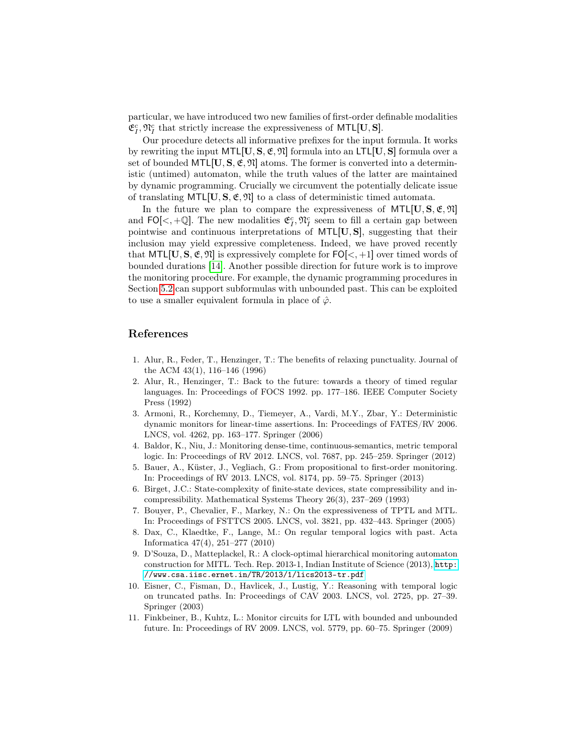particular, we have introduced two new families of first-order definable modalities  $\mathfrak{E}^c_I, \mathfrak{N}^c_I$  that strictly increase the expressiveness of MTL[U, S].

Our procedure detects all informative prefixes for the input formula. It works by rewriting the input  $MTL[U, S, \mathfrak{E}, \mathfrak{N}]$  formula into an  $LTL[U, S]$  formula over a set of bounded  $MTL[U, S, \mathfrak{E}, \mathfrak{N}]$  atoms. The former is converted into a deterministic (untimed) automaton, while the truth values of the latter are maintained by dynamic programming. Crucially we circumvent the potentially delicate issue of translating  $MTL[U, S, \mathfrak{E}, \mathfrak{N}]$  to a class of deterministic timed automata.

In the future we plan to compare the expressiveness of  $MTL[U, S, \mathfrak{E}, \mathfrak{N}]$ and FO[<, +Q]. The new modalities  $\mathfrak{C}_I^c$ ,  $\mathfrak{N}_I^c$  seem to fill a certain gap between pointwise and continuous interpretations of MTL[U, S], suggesting that their inclusion may yield expressive completeness. Indeed, we have proved recently that  $MTL[U, S, \mathfrak{E}, \mathfrak{N}]$  is expressively complete for  $FO[<, +1]$  over timed words of bounded durations [\[14\]](#page-15-9). Another possible direction for future work is to improve the monitoring procedure. For example, the dynamic programming procedures in Section [5.2](#page-10-0) can support subformulas with unbounded past. This can be exploited to use a smaller equivalent formula in place of  $\hat{\varphi}$ .

### References

- <span id="page-14-5"></span>1. Alur, R., Feder, T., Henzinger, T.: The benefits of relaxing punctuality. Journal of the ACM 43(1), 116–146 (1996)
- <span id="page-14-6"></span>2. Alur, R., Henzinger, T.: Back to the future: towards a theory of timed regular languages. In: Proceedings of FOCS 1992. pp. 177–186. IEEE Computer Society Press (1992)
- <span id="page-14-9"></span>3. Armoni, R., Korchemny, D., Tiemeyer, A., Vardi, M.Y., Zbar, Y.: Deterministic dynamic monitors for linear-time assertions. In: Proceedings of FATES/RV 2006. LNCS, vol. 4262, pp. 163–177. Springer (2006)
- <span id="page-14-1"></span>4. Baldor, K., Niu, J.: Monitoring dense-time, continuous-semantics, metric temporal logic. In: Proceedings of RV 2012. LNCS, vol. 7687, pp. 245–259. Springer (2012)
- <span id="page-14-0"></span>5. Bauer, A., Küster, J., Vegliach, G.: From propositional to first-order monitoring. In: Proceedings of RV 2013. LNCS, vol. 8174, pp. 59–75. Springer (2013)
- <span id="page-14-10"></span>6. Birget, J.C.: State-complexity of finite-state devices, state compressibility and incompressibility. Mathematical Systems Theory 26(3), 237–269 (1993)
- <span id="page-14-2"></span>7. Bouyer, P., Chevalier, F., Markey, N.: On the expressiveness of TPTL and MTL. In: Proceedings of FSTTCS 2005. LNCS, vol. 3821, pp. 432–443. Springer (2005)
- <span id="page-14-3"></span>8. Dax, C., Klaedtke, F., Lange, M.: On regular temporal logics with past. Acta Informatica 47(4), 251–277 (2010)
- <span id="page-14-7"></span>9. D'Souza, D., Matteplackel, R.: A clock-optimal hierarchical monitoring automaton construction for MITL. Tech. Rep. 2013-1, Indian Institute of Science (2013), [http:](http://www.csa.iisc.ernet.in/TR/2013/1/lics2013-tr.pdf) [//www.csa.iisc.ernet.in/TR/2013/1/lics2013-tr.pdf](http://www.csa.iisc.ernet.in/TR/2013/1/lics2013-tr.pdf)
- <span id="page-14-8"></span>10. Eisner, C., Fisman, D., Havlicek, J., Lustig, Y.: Reasoning with temporal logic on truncated paths. In: Proceedings of CAV 2003. LNCS, vol. 2725, pp. 27–39. Springer (2003)
- <span id="page-14-4"></span>11. Finkbeiner, B., Kuhtz, L.: Monitor circuits for LTL with bounded and unbounded future. In: Proceedings of RV 2009. LNCS, vol. 5779, pp. 60–75. Springer (2009)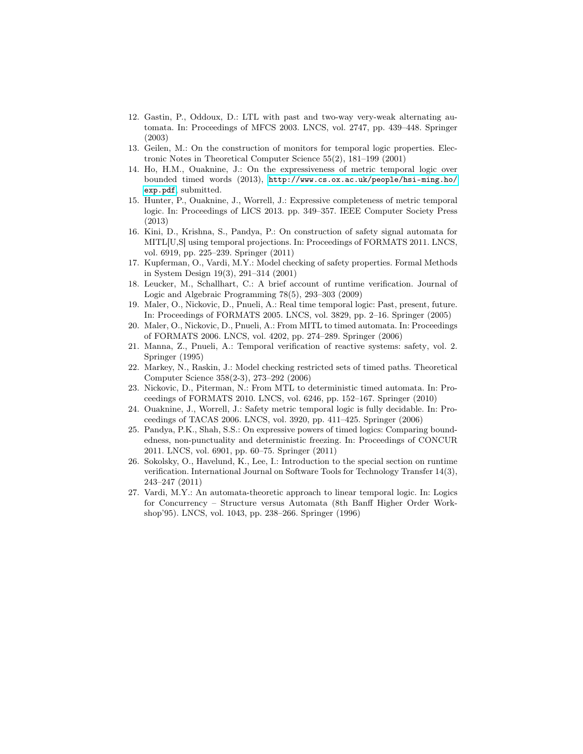- <span id="page-15-4"></span>12. Gastin, P., Oddoux, D.: LTL with past and two-way very-weak alternating automata. In: Proceedings of MFCS 2003. LNCS, vol. 2747, pp. 439–448. Springer (2003)
- <span id="page-15-11"></span>13. Geilen, M.: On the construction of monitors for temporal logic properties. Electronic Notes in Theoretical Computer Science 55(2), 181–199 (2001)
- <span id="page-15-9"></span>14. Ho, H.M., Ouaknine, J.: On the expressiveness of metric temporal logic over bounded timed words (2013), [http://www.cs.ox.ac.uk/people/hsi-ming.ho/](http://www.cs.ox.ac.uk/people/hsi-ming.ho/exp.pdf) [exp.pdf](http://www.cs.ox.ac.uk/people/hsi-ming.ho/exp.pdf), submitted.
- <span id="page-15-3"></span>15. Hunter, P., Ouaknine, J., Worrell, J.: Expressive completeness of metric temporal logic. In: Proceedings of LICS 2013. pp. 349–357. IEEE Computer Society Press (2013)
- <span id="page-15-6"></span>16. Kini, D., Krishna, S., Pandya, P.: On construction of safety signal automata for MITL[U,S] using temporal projections. In: Proceedings of FORMATS 2011. LNCS, vol. 6919, pp. 225–239. Springer (2011)
- <span id="page-15-2"></span>17. Kupferman, O., Vardi, M.Y.: Model checking of safety properties. Formal Methods in System Design 19(3), 291–314 (2001)
- <span id="page-15-0"></span>18. Leucker, M., Schallhart, C.: A brief account of runtime verification. Journal of Logic and Algebraic Programming 78(5), 293–303 (2009)
- <span id="page-15-8"></span>19. Maler, O., Nickovic, D., Pnueli, A.: Real time temporal logic: Past, present, future. In: Proceedings of FORMATS 2005. LNCS, vol. 3829, pp. 2–16. Springer (2005)
- <span id="page-15-7"></span>20. Maler, O., Nickovic, D., Pnueli, A.: From MITL to timed automata. In: Proceedings of FORMATS 2006. LNCS, vol. 4202, pp. 274–289. Springer (2006)
- <span id="page-15-10"></span>21. Manna, Z., Pnueli, A.: Temporal verification of reactive systems: safety, vol. 2. Springer (1995)
- <span id="page-15-13"></span>22. Markey, N., Raskin, J.: Model checking restricted sets of timed paths. Theoretical Computer Science 358(2-3), 273–292 (2006)
- <span id="page-15-5"></span>23. Nickovic, D., Piterman, N.: From MTL to deterministic timed automata. In: Proceedings of FORMATS 2010. LNCS, vol. 6246, pp. 152–167. Springer (2010)
- <span id="page-15-14"></span>24. Ouaknine, J., Worrell, J.: Safety metric temporal logic is fully decidable. In: Proceedings of TACAS 2006. LNCS, vol. 3920, pp. 411–425. Springer (2006)
- <span id="page-15-15"></span>25. Pandya, P.K., Shah, S.S.: On expressive powers of timed logics: Comparing boundedness, non-punctuality and deterministic freezing. In: Proceedings of CONCUR 2011. LNCS, vol. 6901, pp. 60–75. Springer (2011)
- <span id="page-15-1"></span>26. Sokolsky, O., Havelund, K., Lee, I.: Introduction to the special section on runtime verification. International Journal on Software Tools for Technology Transfer 14(3), 243–247 (2011)
- <span id="page-15-12"></span>27. Vardi, M.Y.: An automata-theoretic approach to linear temporal logic. In: Logics for Concurrency – Structure versus Automata (8th Banff Higher Order Workshop'95). LNCS, vol. 1043, pp. 238–266. Springer (1996)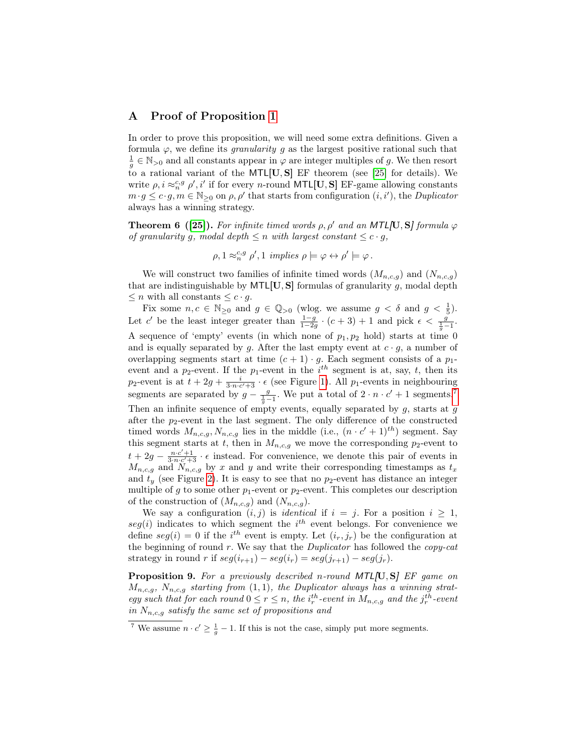### <span id="page-16-0"></span>A Proof of Proposition [1](#page-3-1)

In order to prove this proposition, we will need some extra definitions. Given a formula  $\varphi$ , we define its *granularity* g as the largest positive rational such that  $\frac{1}{g} \in \mathbb{N}_{>0}$  and all constants appear in  $\varphi$  are integer multiples of g. We then resort to a rational variant of the MTL[U, S] EF theorem (see [\[25\]](#page-15-15) for details). We write  $\rho, i \approx_n^{c,g} \rho', i'$  if for every *n*-round MTL[U, S] EF-game allowing constants  $m \cdot g \leq c \cdot g, m \in \mathbb{N}_{\geq 0}$  on  $\rho, \rho'$  that starts from configuration  $(i, i')$ , the *Duplicator* always has a winning strategy.

<span id="page-16-3"></span>**Theorem 6 ([\[25\]](#page-15-15)).** For infinite timed words  $\rho$ ,  $\rho'$  and an MTL[U, S] formula  $\varphi$ of granularity g, modal depth  $\leq n$  with largest constant  $\leq c \cdot g$ ,

$$
\rho, 1 \approx_n^{c,g} \rho', 1 \text{ implies } \rho \models \varphi \leftrightarrow \rho' \models \varphi.
$$

We will construct two families of infinite timed words  $(M_{n,c,q})$  and  $(N_{n,c,g})$ that are indistinguishable by  $MTL[U, S]$  formulas of granularity  $g$ , modal depth  $\leq n$  with all constants  $\leq c \cdot g$ .

Fix some  $n, c \in \mathbb{N}_{\geq 0}$  and  $g \in \mathbb{Q}_{>0}$  (wlog. we assume  $g < \delta$  and  $g < \frac{1}{5}$ ). Let c' be the least integer greater than  $\frac{1-g}{1-2g} \cdot (c+3) + 1$  and pick  $\epsilon < \frac{g}{\frac{1}{g}-1}$ . A sequence of 'empty' events (in which none of  $p_1, p_2$  hold) starts at time 0 and is equally separated by g. After the last empty event at  $c \cdot g$ , a number of overlapping segments start at time  $(c + 1) \cdot g$ . Each segment consists of a  $p_1$ event and a  $p_2$ -event. If the  $p_1$ -event in the  $i<sup>th</sup>$  segment is at, say, t, then its  $p_2$ -event is at  $t + 2g + \frac{i}{3 \cdot n \cdot c' + 3} \cdot \epsilon$  (see Figure [1\)](#page-17-0). All  $p_1$ -events in neighbouring segments are separated by  $g - \frac{g}{\frac{1}{g}-1}$ . We put a total of  $2 \cdot n \cdot c' + 1$  segments.<sup>[7](#page-16-1)</sup> Then an infinite sequence of empty events, equally separated by  $g$ , starts at  $g$ after the  $p_2$ -event in the last segment. The only difference of the constructed timed words  $M_{n,c,g}, N_{n,c,g}$  lies in the middle (i.e.,  $(n \cdot c' + 1)^{th}$ ) segment. Say this segment starts at t, then in  $M_{n,c,g}$  we move the corresponding  $p_2$ -event to  $t + 2g - \frac{n \cdot c' + 1}{3 \cdot n \cdot c' + 3} \cdot \epsilon$  instead. For convenience, we denote this pair of events in  $M_{n,c,g}$  and  $N_{n,c,g}$  by x and y and write their corresponding timestamps as  $t_x$ and  $t<sub>y</sub>$  (see Figure [2\)](#page-17-1). It is easy to see that no  $p<sub>2</sub>$ -event has distance an integer multiple of g to some other  $p_1$ -event or  $p_2$ -event. This completes our description of the construction of  $(M_{n,c,g})$  and  $(N_{n,c,g})$ .

We say a configuration  $(i, j)$  is *identical* if  $i = j$ . For a position  $i \geq 1$ ,  $seg(i)$  indicates to which segment the  $i<sup>th</sup>$  event belongs. For convenience we define  $seg(i) = 0$  if the i<sup>th</sup> event is empty. Let  $(i_r, j_r)$  be the configuration at the beginning of round  $r$ . We say that the *Duplicator* has followed the *copy-cat* strategy in round r if  $seg(i_{r+1}) - seg(i_r) = seg(j_{r+1}) - seg(j_r)$ .

<span id="page-16-2"></span>Proposition 9. For a previously described n-round MTL[U, S] EF game on  $M_{n,c,q}$ ,  $N_{n,c,q}$  starting from  $(1,1)$ , the Duplicator always has a winning strategy such that for each round  $0 \le r \le n$ , the  $i_r^{th}$ -event in  $M_{n,c,g}$  and the  $j_r^{th}$ -event in  $N_{n,c,q}$  satisfy the same set of propositions and

<span id="page-16-1"></span><sup>&</sup>lt;sup>7</sup> We assume  $n \cdot c' \geq \frac{1}{g} - 1$ . If this is not the case, simply put more segments.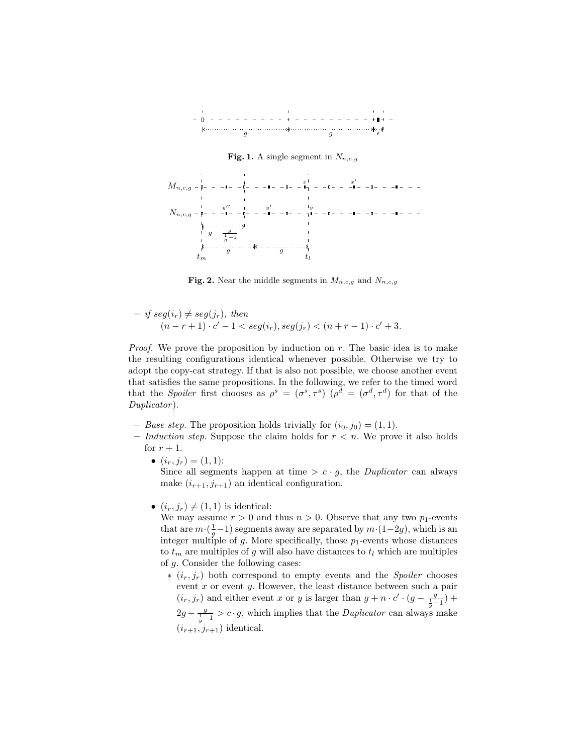

<span id="page-17-0"></span>Fig. 1. A single segment in  $N_{n,c,g}$ 



<span id="page-17-1"></span>Fig. 2. Near the middle segments in  $M_{n,c,g}$  and  $N_{n,c,g}$ 

$$
- if seg(ir) \neq seg(jr), then
$$
  
\n
$$
(n-r+1) \cdot c' - 1 < seg(ir), seg(jr) < (n+r-1) \cdot c' + 3.
$$

*Proof.* We prove the proposition by induction on r. The basic idea is to make the resulting configurations identical whenever possible. Otherwise we try to adopt the copy-cat strategy. If that is also not possible, we choose another event that satisfies the same propositions. In the following, we refer to the timed word that the Spoiler first chooses as  $\rho^s = (\sigma^s, \tau^s)$   $(\rho^d = (\sigma^d, \tau^d)$  for that of the Duplicator).

- Base step. The proposition holds trivially for  $(i_0, j_0) = (1, 1)$ .
- Induction step. Suppose the claim holds for  $r < n$ . We prove it also holds for  $r + 1$ .
	- $(i_r, j_r) = (1, 1)$ : Since all segments happen at time  $>c \cdot g$ , the *Duplicator* can always make  $(i_{r+1}, j_{r+1})$  an identical configuration.
	- $(i_r, j_r) \neq (1, 1)$  is identical:

We may assume  $r > 0$  and thus  $n > 0$ . Observe that any two  $p_1$ -events that are  $m \cdot (\frac{1}{g} - 1)$  segments away are separated by  $m \cdot (1-2g)$ , which is an integer multiple of  $g$ . More specifically, those  $p_1$ -events whose distances to  $t_m$  are multiples of g will also have distances to  $t_l$  which are multiples of g. Consider the following cases:

 $*(i_r, j_r)$  both correspond to empty events and the *Spoiler* chooses event  $x$  or event  $y$ . However, the least distance between such a pair  $(i_r, j_r)$  and either event x or y is larger than  $g + n \cdot c' \cdot (g - \frac{g}{\frac{1}{g} - 1}) +$  $2g - \frac{g}{\frac{1}{g}-1} > c \cdot g$ , which implies that the *Duplicator* can always make  $(i_{r+1}, j_{r+1})$  identical.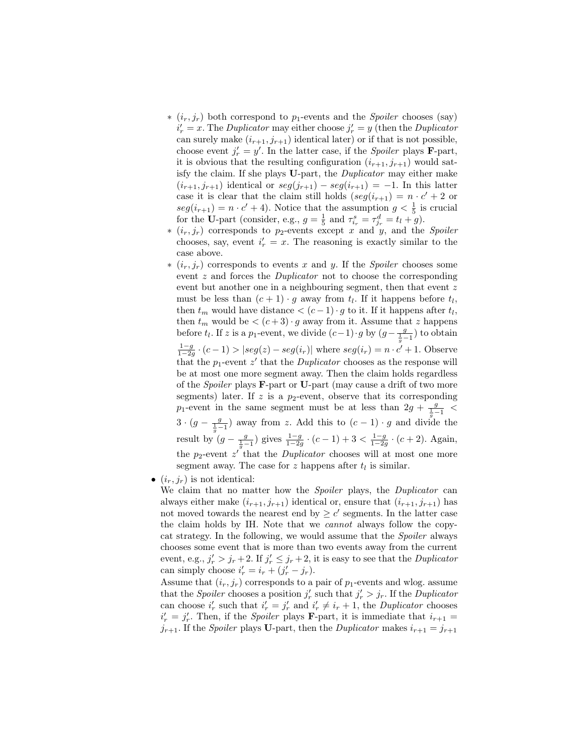- $*(i_r, j_r)$  both correspond to  $p_1$ -events and the *Spoiler* chooses (say)  $i'_r = x$ . The Duplicator may either choose  $j'_r = y$  (then the Duplicator can surely make  $(i_{r+1}, j_{r+1})$  identical later) or if that is not possible, choose event  $j'_r = y'$ . In the latter case, if the *Spoiler* plays **F**-part, it is obvious that the resulting configuration  $(i_{r+1}, j_{r+1})$  would satisfy the claim. If she plays U-part, the Duplicator may either make  $(i_{r+1}, j_{r+1})$  identical or  $seg(j_{r+1}) - seg(i_{r+1}) = -1$ . In this latter case it is clear that the claim still holds  $(\text{seg}(i_{r+1}) = n \cdot c' + 2 \text{ or }$  $seg(i_{r+1}) = n \cdot c' + 4$ ). Notice that the assumption  $g < \frac{1}{5}$  is crucial for the U-part (consider, e.g.,  $g = \frac{1}{5}$  and  $\tau_{i_r}^s = \tau_{j_r}^d = t_l + g$ ).
- $*(i_r, j_r)$  corresponds to  $p_2$ -events except x and y, and the Spoiler chooses, say, event  $i'_r = x$ . The reasoning is exactly similar to the case above.
- $*(i_r, j_r)$  corresponds to events x and y. If the *Spoiler* chooses some event z and forces the Duplicator not to choose the corresponding event but another one in a neighbouring segment, then that event z must be less than  $(c + 1) \cdot g$  away from  $t_l$ . If it happens before  $t_l$ , then  $t_m$  would have distance  $\lt (c-1) \cdot g$  to it. If it happens after  $t_l$ , then  $t_m$  would be  $\lt (c+3) \cdot g$  away from it. Assume that z happens before  $t_l$ . If z is a  $p_1$ -event, we divide  $(c-1) \cdot g$  by  $(g - \frac{g}{\frac{1}{g}-1})$  to obtain  $\frac{1-g}{1-2g} \cdot (c-1) > |seg(z) - seg(i_r)|$  where  $seg(i_r) = n \cdot c' + 1$ . Observe that the  $p_1$ -event  $z'$  that the *Duplicator* chooses as the response will be at most one more segment away. Then the claim holds regardless of the *Spoiler* plays **F**-part or U-part (may cause a drift of two more segments) later. If z is a  $p_2$ -event, observe that its corresponding  $p_1$ -event in the same segment must be at less than  $2g + \frac{g}{\frac{1}{g}-1}$  $3 \cdot (g - \frac{g}{\frac{1}{g}-1})$  away from z. Add this to  $(c-1) \cdot g$  and divide the result by  $(g - \frac{g}{\frac{1}{g}-1})$  gives  $\frac{1-g}{1-2g} \cdot (c-1) + 3 < \frac{1-g}{1-2g} \cdot (c+2)$ . Again, the  $p_2$ -event  $z^{\prime}$  that the *Duplicator* chooses will at most one more segment away. The case for z happens after  $t_l$  is similar.
- $(i_r, j_r)$  is not identical:
	- We claim that no matter how the Spoiler plays, the Duplicator can always either make  $(i_{r+1}, j_{r+1})$  identical or, ensure that  $(i_{r+1}, j_{r+1})$  has not moved towards the nearest end by  $\geq c'$  segments. In the latter case the claim holds by IH. Note that we cannot always follow the copycat strategy. In the following, we would assume that the *Spoiler* always chooses some event that is more than two events away from the current event, e.g.,  $j'_r > j_r + 2$ . If  $j'_r \leq j_r + 2$ , it is easy to see that the *Duplicator* can simply choose  $i'_r = i_r + (j'_r - j_r)$ .

Assume that  $(i_r, j_r)$  corresponds to a pair of  $p_1$ -events and wlog. assume that the *Spoiler* chooses a position  $j'_r$  such that  $j'_r > j_r$ . If the *Duplicator* can choose  $i'_r$  such that  $i'_r = j'_r$  and  $i'_r \neq i_r + 1$ , the *Duplicator* chooses  $i'_r = j'_r$ . Then, if the *Spoiler* plays **F**-part, it is immediate that  $i_{r+1}$  =  $j_{r+1}$ . If the *Spoiler* plays U-part, then the *Duplicator* makes  $i_{r+1} = j_{r+1}$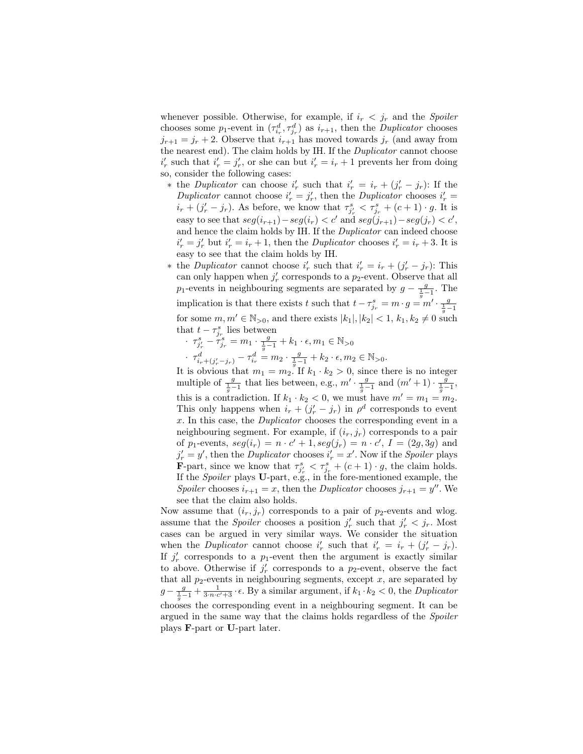whenever possible. Otherwise, for example, if  $i_r < j_r$  and the *Spoiler* chooses some  $p_1$ -event in  $(\tau_{i_r}^d, \tau_{j_r}^d)$  as  $i_{r+1}$ , then the *Duplicator* chooses  $j_{r+1} = j_r + 2$ . Observe that  $i_{r+1}$  has moved towards  $j_r$  (and away from the nearest end). The claim holds by IH. If the Duplicator cannot choose  $i'_r$  such that  $i'_r = j'_r$ , or she can but  $i'_r = i_r + 1$  prevents her from doing so, consider the following cases:

- \* the Duplicator can choose  $i'_r$  such that  $i'_r = i_r + (j'_r j_r)$ : If the Duplicator cannot choose  $i'_r = j'_r$ , then the Duplicator chooses  $i'_r =$  $i_r + (j'_r - j_r)$ . As before, we know that  $\tau_{j'_r}^s < \tau_{j_r}^s + (c+1) \cdot g$ . It is easy to see that  $seg(i_{r+1}) - seg(i_r) < c'$  and  $seg(j_{r+1}) - seg(j_r) < c'$ , and hence the claim holds by IH. If the Duplicator can indeed choose  $i'_r = j'_r$  but  $i'_r = i_r + 1$ , then the *Duplicator* chooses  $i'_r = i_r + 3$ . It is easy to see that the claim holds by IH.
- \* the *Duplicator* cannot choose  $i'_r$  such that  $i'_r = i_r + (j'_r j_r)$ : This can only happen when  $j'_r$  corresponds to a  $p_2$ -event. Observe that all p<sub>1</sub>-events in neighbouring segments are separated by  $g - \frac{g}{\frac{1}{g}-1}$ . The implication is that there exists t such that  $t - \tau_{j_r}^s = m \cdot g = m' \cdot \frac{g}{\frac{1}{g} - 1}$ for some  $m, m' \in \mathbb{N}_{>0}$ , and there exists  $|k_1|, |k_2| < 1$ ,  $k_1, k_2 \neq 0$  such that  $t - \tau_{j_r}^s$  lies between
	- $\cdot \tau_{j'_r}^s \tau_{j_r}^s = m_1 \cdot \frac{g}{\frac{1}{g}-1} + k_1 \cdot \epsilon, m_1 \in \mathbb{N}_{>0}$

 $\cdot \tau^d_{i_r+(j'_r-j_r)} - \tau^d_{i_r} = m_2 \cdot \frac{g}{\frac{1}{g}-1} + k_2 \cdot \epsilon, m_2 \in \mathbb{N}_{>0}.$ 

It is obvious that  $m_1 = m_2$ . If  $k_1 \cdot k_2 > 0$ , since there is no integer multiple of  $\frac{g}{\frac{1}{g}-1}$  that lies between, e.g.,  $m' \cdot \frac{g}{\frac{1}{g}-1}$  and  $(m'+1) \cdot \frac{g}{\frac{1}{g}-1}$ , this is a contradiction. If  $k_1 \cdot k_2 < 0$ , we must have  $m' = m_1 = m_2$ . This only happens when  $i_r + (j'_r - j_r)$  in  $\rho^d$  corresponds to event x. In this case, the Duplicator chooses the corresponding event in a neighbouring segment. For example, if  $(i_r, j_r)$  corresponds to a pair of  $p_1$ -events,  $seg(i_r) = n \cdot c' + 1, seg(j_r) = n \cdot c', I = (2g, 3g)$  and  $j'_r = y'$ , then the *Duplicator* chooses  $i'_r = x'$ . Now if the *Spoiler* plays **F**-part, since we know that  $\tau_{j'_r}^s < \tau_{j_r}^s + (c+1) \cdot g$ , the claim holds. If the Spoiler plays U-part, e.g., in the fore-mentioned example, the Spoiler chooses  $i_{r+1} = x$ , then the *Duplicator* chooses  $j_{r+1} = y''$ . We see that the claim also holds.

Now assume that  $(i_r, j_r)$  corresponds to a pair of  $p_2$ -events and wlog. assume that the *Spoiler* chooses a position  $j'_r$  such that  $j'_r < j_r$ . Most cases can be argued in very similar ways. We consider the situation when the *Duplicator* cannot choose  $i'_r$  such that  $i'_r = i_r + (j'_r - j_r)$ . If  $j'_r$  corresponds to a  $p_1$ -event then the argument is exactly similar to above. Otherwise if  $j'_r$  corresponds to a  $p_2$ -event, observe the fact that all  $p_2$ -events in neighbouring segments, except  $x$ , are separated by  $g-\frac{g}{\frac{1}{g}-1}+\frac{1}{3\cdot n\cdot c'+3}\cdot\epsilon$ . By a similar argument, if  $k_1\cdot k_2 < 0$ , the *Duplicator* chooses the corresponding event in a neighbouring segment. It can be argued in the same way that the claims holds regardless of the Spoiler plays F-part or U-part later.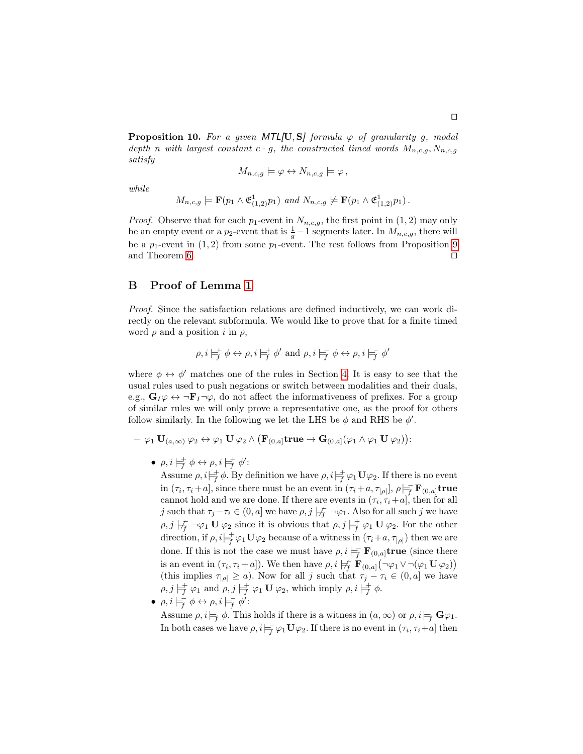**Proposition 10.** For a given MTL[U, S] formula  $\varphi$  of granularity g, modal depth n with largest constant  $c \cdot g$ , the constructed timed words  $M_{n,c,g}$ ,  $N_{n,c,g}$ satisfy

$$
M_{n,c,g} \models \varphi \leftrightarrow N_{n,c,g} \models \varphi,
$$

while

$$
M_{n,c,g} \models \mathbf{F}(p_1 \wedge \mathfrak{E}_{(1,2)}^1 p_1) \text{ and } N_{n,c,g} \not\models \mathbf{F}(p_1 \wedge \mathfrak{E}_{(1,2)}^1 p_1).
$$

*Proof.* Observe that for each  $p_1$ -event in  $N_{n,c,g}$ , the first point in  $(1, 2)$  may only be an empty event or a  $p_2$ -event that is  $\frac{1}{g} - 1$  segments later. In  $M_{n,c,g}$ , there will be a  $p_1$ -event in  $(1, 2)$  from some  $p_1$ -event. The rest follows from Proposition [9](#page-16-2) and Theorem [6.](#page-16-3)  $\Box$ 

### <span id="page-20-0"></span>B Proof of Lemma [1](#page-12-0)

Proof. Since the satisfaction relations are defined inductively, we can work directly on the relevant subformula. We would like to prove that for a finite timed word  $\rho$  and a position i in  $\rho$ ,

$$
\rho, i \models_f^+ \phi \leftrightarrow \rho, i \models_f^+ \phi' \text{ and } \rho, i \models_f^- \phi \leftrightarrow \rho, i \models_f^- \phi'
$$

where  $\phi \leftrightarrow \phi'$  matches one of the rules in Section [4.](#page-6-0) It is easy to see that the usual rules used to push negations or switch between modalities and their duals, e.g.,  $G_I\varphi \leftrightarrow \neg F_I\neg \varphi$ , do not affect the informativeness of prefixes. For a group of similar rules we will only prove a representative one, as the proof for others follow similarly. In the following we let the LHS be  $\phi$  and RHS be  $\phi'$ .

- $-\varphi_1 \, \mathbf{U}_{(a,\infty)}\, \varphi_2 \leftrightarrow \varphi_1 \, \mathbf{U}\, \varphi_2 \wedge \big(\mathbf{F}_{(0,a]}\mathbf{true}\to \mathbf{G}_{(0,a]}(\varphi_1 \wedge \varphi_1 \, \mathbf{U}\, \varphi_2)\big)\colon$ 
	- $\rho, i \models_f^+ \phi \leftrightarrow \rho, i \models_f^+ \phi'$ :

Assume  $\rho, i \models^{\dagger}_{f} \phi$ . By definition we have  $\rho, i \models^{\dagger}_{f} \varphi_1 \mathbf{U} \varphi_2$ . If there is no event in  $(\tau_i, \tau_i + a]$ , since there must be an event in  $(\tau_i + a, \tau_{|\rho|}], \rho \models_F^{\equiv} \mathbf{F}_{(0,a]}$ true cannot hold and we are done. If there are events in  $(\tau_i, \tau_i + a]$ , then for all j such that  $\tau_j-\tau_i\in(0,a]$  we have  $\rho, j\not\models_f^-\neg\varphi_1$ . Also for all such j we have  $\rho, j \not\models_f \neg \varphi_1 \mathbf{U} \varphi_2$  since it is obvious that  $\rho, j \models_f^+ \varphi_1 \mathbf{U} \varphi_2$ . For the other direction, if  $\rho, i \models^{\dagger}_{\vec{f}} \varphi_1 \mathbf{U} \varphi_2$  because of a witness in  $(\tau_i + a, \tau_{|\rho|})$  then we are done. If this is not the case we must have  $\rho, i \models_F^+ \mathbf{F}_{(0,a]}$ true (since there is an event in  $(\tau_i, \tau_i + a]$ ). We then have  $\rho, i \not\models_f^{\cdot} \mathbf{F}_{(0,a]}(\neg \varphi_1 \vee \neg(\varphi_1 \mathbf{U} \varphi_2))$ (this implies  $\tau_{|\rho|} \ge a$ ). Now for all j such that  $\tau_j - \tau_i \in (0, a]$  we have  $\rho, j \models^{\dagger}_{f} \varphi_1 \text{ and } \rho, j \models^{\dagger}_{f} \varphi_1 \mathbf{U} \varphi_2 \text{, which imply } \rho, i \models^{\dagger}_{f} \phi.$ 

 $\bullet \ \rho, i \models_{f}^{\equiv} \phi \leftrightarrow \rho, i \models_{f}^{\equiv} \phi'$ :

Assume  $\rho, i|_{\overline{f}} \phi$ . This holds if there is a witness in  $(a, \infty)$  or  $\rho, i|_{\overline{f}} \mathbf{G} \varphi_1$ . In both cases we have  $\rho, i \models_f^{\pm} \varphi_1 \mathbf{U} \varphi_2$ . If there is no event in  $(\tau_i, \tau_i + a]$  then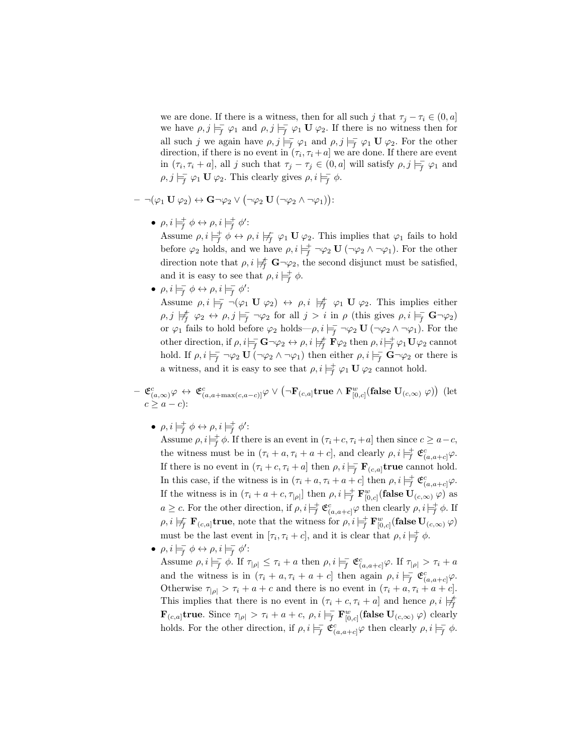we are done. If there is a witness, then for all such j that  $\tau_i - \tau_i \in (0, a]$ we have  $\rho, j \models_{\overline{f}} \varphi_1$  and  $\rho, j \models_{\overline{f}} \varphi_1 \mathbf{U} \varphi_2$ . If there is no witness then for all such j we again have  $\rho, j \models_f^{\equiv} \varphi_1$  and  $\rho, j \models_f^{\equiv} \varphi_1 \mathbf{U} \varphi_2$ . For the other direction, if there is no event in  $(\tau_i, \tau_i + a]$  we are done. If there are event in  $(\tau_i, \tau_i + a]$ , all j such that  $\tau_j - \tau_j \in (0, a]$  will satisfy  $\rho, j \models_f^{\sim} \varphi_1$  and  $\rho, j \models_{\overline{f}} \varphi_1 \mathbf{U} \varphi_2$ . This clearly gives  $\rho, i \models_{\overline{f}} \phi$ .

- $\neg (\varphi_1 \mathbf{U} \, \varphi_2) \leftrightarrow \mathbf{G} \neg \varphi_2 \vee (\neg \varphi_2 \mathbf{U} \, (\neg \varphi_2 \wedge \neg \varphi_1)) \colon$ 
	- $\bullet \ \rho, i \models_f^+ \phi \leftrightarrow \rho, i \models_f^+ \phi'.$

Assume  $\rho, i \models^{\pm}_{\overline{f}} \phi \leftrightarrow \rho, i \not\models^{\pm}_{\overline{f}} \varphi_1 \mathbf{U} \varphi_2$ . This implies that  $\varphi_1$  fails to hold before  $\varphi_2$  holds, and we have  $\rho, i \models_f^+ \neg \varphi_2 \mathbf{U} (\neg \varphi_2 \land \neg \varphi_1)$ . For the other direction note that  $\rho, i \not\models_f^{\mathsf{+}} \mathbf{G} \neg \varphi_2$ , the second disjunct must be satisfied, and it is easy to see that  $\rho, i \models^{\dagger}_{f} \phi$ .

•  $\rho, i \models_{f}^{\equiv} \phi \leftrightarrow \rho, i \models_{f}^{\equiv} \phi'$ :

Assume  $\rho, i \models_{f} \neg(\varphi_1 \mathbf{U} \varphi_2) \leftrightarrow \rho, i \not\models_{f} \varphi_1 \mathbf{U} \varphi_2$ . This implies either  $\rho, j \not\models^{\dagger}_{f} \varphi_{2} \leftrightarrow \rho, j \not\models^{\dagger}_{f} \neg \varphi_{2}$  for all  $j > i$  in  $\rho$  (this gives  $\rho, i \not\models^{\dagger}_{f} \mathbf{G} \neg \varphi_{2}$ ) or  $\varphi_1$  fails to hold before  $\varphi_2$  holds— $\rho, i \models_f^- \neg \varphi_2 \mathbf{U} (\neg \varphi_2 \land \neg \varphi_1)$ . For the other direction, if  $\rho, i \models_f^{\mathbf{-}} \mathbf{G} \neg \varphi_2 \leftrightarrow \rho, i \not\models_f^{\mathbf{+}} \mathbf{F} \varphi_2$  then  $\rho, i \models_f^{\mathbf{+}} \varphi_1 \mathbf{U} \varphi_2$  cannot hold. If  $\rho, i \models_{f}^{-} \neg \varphi_2 \mathbf{U} (\neg \varphi_2 \land \neg \varphi_1)$  then either  $\rho, i \models_{f}^{\mathbf{-}} \mathbf{G} \neg \varphi_2$  or there is a witness, and it is easy to see that  $\rho, i \models_f^{\pm} \varphi_1 \mathbf{U} \varphi_2$  cannot hold.

 $- \ \mathfrak{C}^c_{(a, \infty)}\varphi \, \leftrightarrow \, \mathfrak{C}^c_{(a, a + \max(c, a-c)]}\varphi \vee \left(\neg \mathbf{F}_{(c, a]} \mathbf{true} \wedge \mathbf{F}_{[0, c]}^w(\mathbf{false} \ \mathbf{U}_{(c, \infty)} \ \varphi) \right) \; (\text{let} \ \mathcal{F}_{(c, a)}^w)$  $c > a - c$ :

 $\bullet \ \rho, i \models_f^+ \phi \leftrightarrow \rho, i \models_f^+ \phi'.$ 

Assume  $\rho, i \models^{\dagger}_{\overline{f}} \phi$ . If there is an event in  $(\tau_i + c, \tau_i + a]$  then since  $c \geq a - c$ , the witness must be in  $(\tau_i + a, \tau_i + a + c]$ , and clearly  $\rho, i \models^{\dagger}_{\mathcal{F}} \mathfrak{E}^c_{(a, a+c]} \varphi$ . If there is no event in  $(\tau_i + c, \tau_i + a]$  then  $\rho, i \models_{f} \mathbf{F}_{(c,a]}$ true cannot hold. In this case, if the witness is in  $(\tau_i + a, \tau_i + a + c]$  then  $\rho, i \models^{\dagger}_{\mathcal{F}} \mathfrak{C}^c_{(a, a+c]} \varphi$ . If the witness is in  $(\tau_i + a + c, \tau_{|\rho|}]$  then  $\rho, i \models^+_{\vec{f}} \mathbf{F}^w_{[0,c]}$  (false  $\mathbf{U}_{(c,\infty)}(\varphi)$  as  $a \geq c$ . For the other direction, if  $\rho, i \models_f^+ \mathfrak{E}^c_{(a,a+c]} \varphi$  then clearly  $\rho, i \models_f^+ \phi$ . If  $\rho, i \not\models f \mathbf{F}_{(c,a]}$ true, note that the witness for  $\rho, i \not\models f \mathbf{F}_{[0,c]}^w$  (false  $\mathbf{U}_{(c,\infty)}$   $\varphi$ ) must be the last event in  $[\tau_i, \tau_i + c]$ , and it is clear that  $\rho, i \models^{\dagger}_{\overline{f}} \phi$ .

•  $\rho, i \models_{f}^{\equiv} \phi \leftrightarrow \rho, i \models_{f}^{\equiv} \phi'$ :

Assume  $\rho, i \models_{\overline{f}} \phi$ . If  $\tau_{|\rho|} \leq \tau_i + a$  then  $\rho, i \models_{\overline{f}} \mathfrak{C}_{(a,a+c]}^c \varphi$ . If  $\tau_{|\rho|} > \tau_i + a$ and the witness is in  $(\tau_i + a, \tau_i + a + c]$  then again  $\rho, i \models_{\mathcal{F}}^{\mathcal{F}} \mathfrak{C}^c_{(a, a+c]} \varphi$ . Otherwise  $\tau_{|\rho|} > \tau_i + a + c$  and there is no event in  $(\tau_i + a, \tau_i + a + c]$ . This implies that there is no event in  $(\tau_i + c, \tau_i + a]$  and hence  $\rho, i \not\models_f^{\#}$  $\mathbf{F}_{(c,a]}$ true. Since  $\tau_{|\rho|} > \tau_i + a + c, \rho, i \models_{\overline{f}} \mathbf{F}_{[0,c]}^w(\textbf{false } \mathbf{U}_{(c,\infty)} | \varphi)$  clearly holds. For the other direction, if  $\rho, i \models_{\overline{f}} \mathfrak{C}^c_{(a,a+c]} \varphi$  then clearly  $\rho, i \models_{\overline{f}} \phi$ .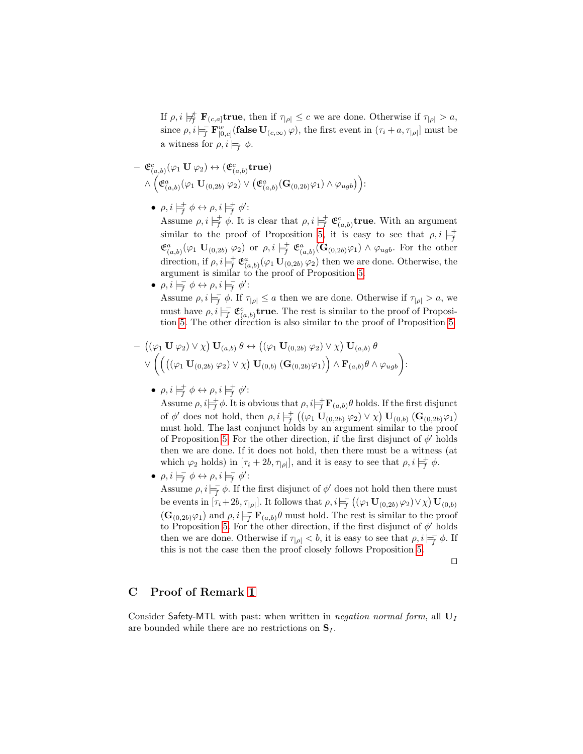If  $\rho, i \not\models^{\mathbf{f}}_{f} \mathbf{F}_{(c,a]}$ true, then if  $\tau_{|\rho|} \leq c$  we are done. Otherwise if  $\tau_{|\rho|} > a$ , since  $\rho, i \models_{\mathsf{f}}^{\mathsf{r}} \mathbf{F}_{[0,c]}^w(\mathbf{false } \mathbf{U}_{(c,\infty)} \varphi)$ , the first event in  $(\tau_i + a, \tau_{|\rho|}]$  must be a witness for  $\rho, i \models_f^- \phi$ .

$$
\begin{array}{l}\n- \ {\mathfrak{E}}^c_{(a,b)}(\varphi_1 \ {\bf U} \ \varphi_2) \leftrightarrow ({\mathfrak{E}}^c_{(a,b)}{\bf true}) \\
\wedge \Big( {\mathfrak{E}}^a_{(a,b)}(\varphi_1 \ {\bf U}_{(0,2b)} \ \varphi_2) \vee \big( {\mathfrak{E}}^a_{(a,b)}({\bf G}_{(0,2b)}\varphi_1) \wedge \varphi_{ugb}\big)\Big)\n\end{array}
$$

 $\bullet \ \rho, i \models_f^+ \phi \leftrightarrow \rho, i \models_f^+ \phi'.$ 

Assume  $\rho, i \models^{\pm}_{\mathcal{F}} \phi$ . It is clear that  $\rho, i \models^{\pm}_{\mathcal{F}} \mathfrak{C}^c_{(a,b)}$ true. With an argument similar to the proof of Proposition [5,](#page-7-1) it is easy to see that  $\rho, i \models^{\dagger}_{f}$  $\mathfrak{E}^a_{(a,b)}(\varphi_1 \mathbf{U}_{(0,2b)} \varphi_2)$  or  $\rho, i \models^+_{f} \mathfrak{E}^a_{(a,b)}(\mathbf{G}_{(0,2b)}\varphi_1) \wedge \varphi_{ugb}$ . For the other direction, if  $\rho, i \models^{\pm}_{\overline{f}} \mathfrak{E}^a_{(a,b)}(\varphi_1 \mathbf{U}_{(0,2b)} \varphi_2)$  then we are done. Otherwise, the argument is similar to the proof of Proposition [5.](#page-7-1)

•  $\rho, i \models_{f}^{\equiv} \phi \leftrightarrow \rho, i \models_{f}^{\equiv} \phi'$ :

Assume  $\rho, i \models_{\overline{f}} \phi$ . If  $\tau_{|\rho|} \leq a$  then we are done. Otherwise if  $\tau_{|\rho|} > a$ , we must have  $\rho, i \models_{\overline{f}} \mathfrak{E}_{(a,b)}^c$  true. The rest is similar to the proof of Proposition [5.](#page-7-1) The other direction is also similar to the proof of Proposition [5.](#page-7-1)

$$
- \left((\varphi_1 \mathbf{U} \varphi_2) \vee \chi\right) \mathbf{U}_{(a,b)} \theta \leftrightarrow ((\varphi_1 \mathbf{U}_{(0,2b)} \varphi_2) \vee \chi) \mathbf{U}_{(a,b)} \theta \vee \left(\left(((\varphi_1 \mathbf{U}_{(0,2b)} \varphi_2) \vee \chi\right) \mathbf{U}_{(0,b)} (\mathbf{G}_{(0,2b)} \varphi_1)\right) \wedge \mathbf{F}_{(a,b)} \theta \wedge \varphi_{ugb}\right):
$$

•  $\rho, i \models_f^+ \phi \leftrightarrow \rho, i \models_f^+ \phi'$ :

Assume  $\rho, i \models^{\dagger}_{\overline{f}} \phi$ . It is obvious that  $\rho, i \models^{\dagger}_{\overline{f}} \mathbf{F}_{(a,b)} \theta$  holds. If the first disjunct of  $\phi'$  does not hold, then  $\rho, i \models^+_{\mathcal{F}} ((\varphi_1 \mathbf{U}_{(0,2b)} \varphi_2) \vee \chi) \mathbf{U}_{(0,b)} (\mathbf{G}_{(0,2b)} \varphi_1)$ must hold. The last conjunct holds by an argument similar to the proof of Proposition [5.](#page-7-1) For the other direction, if the first disjunct of  $\phi'$  holds then we are done. If it does not hold, then there must be a witness (at which  $\varphi_2$  holds) in  $[\tau_i + 2b, \tau_{|\rho|}]$ , and it is easy to see that  $\rho, i \models^{\dagger}_{\vec{f}} \phi$ .

•  $\rho, i \models_{f}^{\equiv} \phi \leftrightarrow \rho, i \models_{f}^{\equiv} \phi'$ :

Assume  $\rho, i|_{\overline{f}} \phi$ . If the first disjunct of  $\phi'$  does not hold then there must be events in  $[\tau_i+2b,\tau_{|\rho|}]$ . It follows that  $\rho, i \models_{\overline{f}} ((\varphi_1 \mathbf{U}_{(0,2b)} \varphi_2) \vee \chi) \mathbf{U}_{(0,b)}$  $(\mathbf{G}_{(0,2b)}\varphi_1)$  and  $\rho, i \models_F^{\mathsf{T}} \mathbf{F}_{(a,b)}\theta$  must hold. The rest is similar to the proof to Proposition [5.](#page-7-1) For the other direction, if the first disjunct of  $\phi'$  holds then we are done. Otherwise if  $\tau_{|\rho|} < b$ , it is easy to see that  $\rho, i \models_{\overline{f}} \phi$ . If this is not the case then the proof closely follows Proposition [5.](#page-7-1)

 $\Box$ 

# C Proof of Remark [1](#page-13-1)

Consider Safety-MTL with past: when written in negation normal form, all  $U_I$ are bounded while there are no restrictions on  $S_I$ .